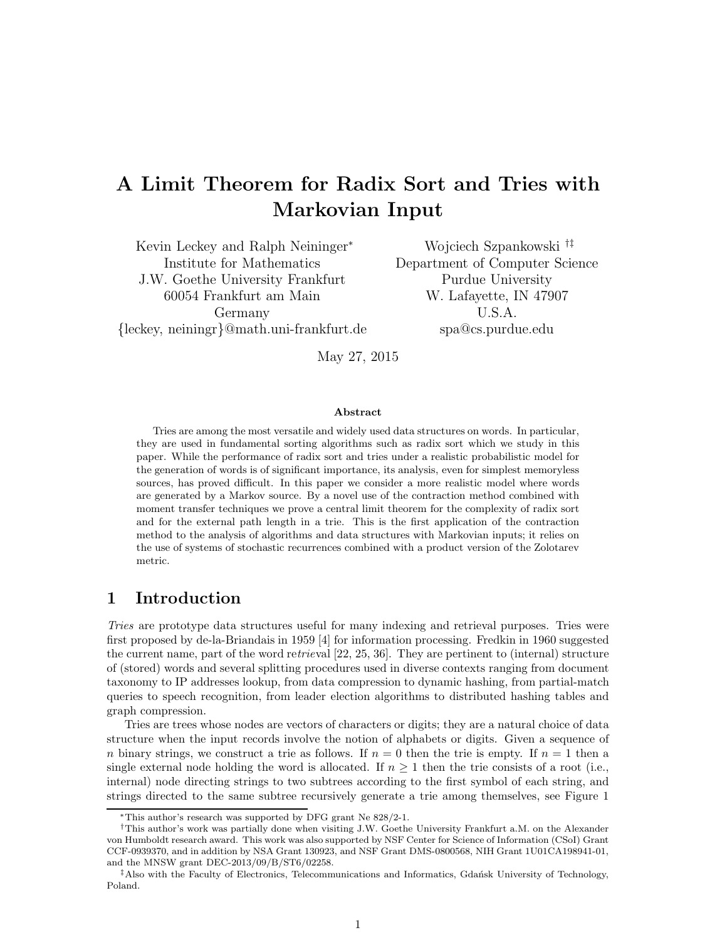# A Limit Theorem for Radix Sort and Tries with Markovian Input

Kevin Leckey and Ralph Neininger<sup>∗</sup> Institute for Mathematics J.W. Goethe University Frankfurt 60054 Frankfurt am Main Germany {leckey, neiningr}@math.uni-frankfurt.de

Wojciech Szpankowski †‡ Department of Computer Science Purdue University W. Lafayette, IN 47907 U.S.A. spa@cs.purdue.edu

May 27, 2015

#### Abstract

Tries are among the most versatile and widely used data structures on words. In particular, they are used in fundamental sorting algorithms such as radix sort which we study in this paper. While the performance of radix sort and tries under a realistic probabilistic model for the generation of words is of significant importance, its analysis, even for simplest memoryless sources, has proved difficult. In this paper we consider a more realistic model where words are generated by a Markov source. By a novel use of the contraction method combined with moment transfer techniques we prove a central limit theorem for the complexity of radix sort and for the external path length in a trie. This is the first application of the contraction method to the analysis of algorithms and data structures with Markovian inputs; it relies on the use of systems of stochastic recurrences combined with a product version of the Zolotarev metric.

### 1 Introduction

*Tries* are prototype data structures useful for many indexing and retrieval purposes. Tries were first proposed by de-la-Briandais in 1959 [4] for information processing. Fredkin in 1960 suggested the current name, part of the word re*trie*val [22, 25, 36]. They are pertinent to (internal) structure of (stored) words and several splitting procedures used in diverse contexts ranging from document taxonomy to IP addresses lookup, from data compression to dynamic hashing, from partial-match queries to speech recognition, from leader election algorithms to distributed hashing tables and graph compression.

Tries are trees whose nodes are vectors of characters or digits; they are a natural choice of data structure when the input records involve the notion of alphabets or digits. Given a sequence of n binary strings, we construct a trie as follows. If  $n = 0$  then the trie is empty. If  $n = 1$  then a single external node holding the word is allocated. If  $n \geq 1$  then the trie consists of a root (i.e., internal) node directing strings to two subtrees according to the first symbol of each string, and strings directed to the same subtree recursively generate a trie among themselves, see Figure 1

<sup>∗</sup>This author's research was supported by DFG grant Ne 828/2-1.

<sup>†</sup>This author's work was partially done when visiting J.W. Goethe University Frankfurt a.M. on the Alexander von Humboldt research award. This work was also supported by NSF Center for Science of Information (CSoI) Grant CCF-0939370, and in addition by NSA Grant 130923, and NSF Grant DMS-0800568, NIH Grant 1U01CA198941-01, and the MNSW grant DEC-2013/09/B/ST6/02258.

 $^{\ddagger}$ Also with the Faculty of Electronics, Telecommunications and Informatics, Gdańsk University of Technology, Poland.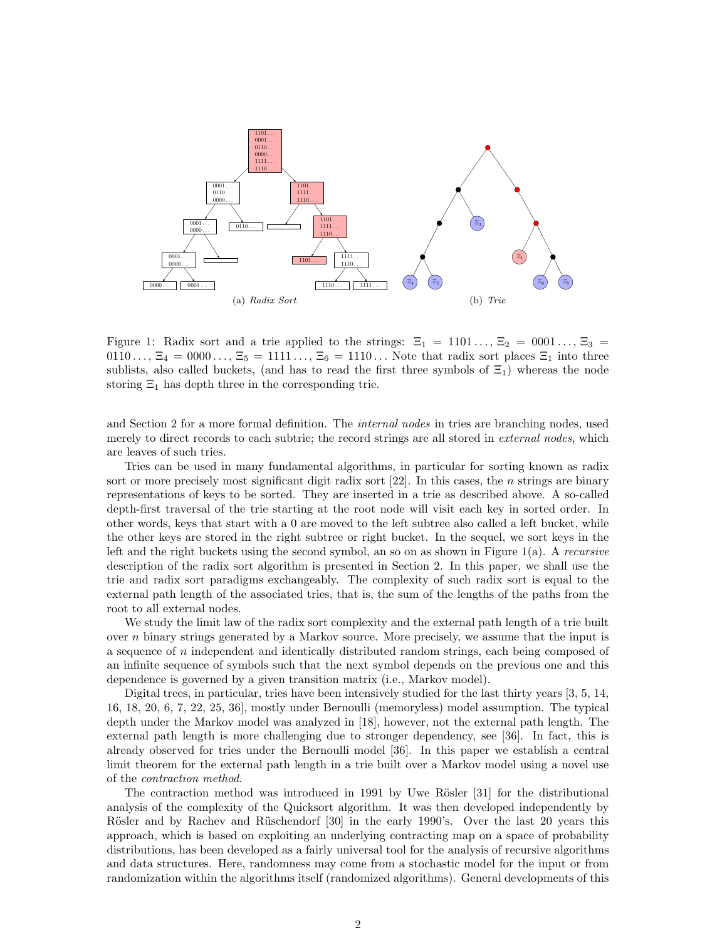

Figure 1: Radix sort and a trie applied to the strings:  $\Xi_1 = 1101..., \Xi_2 = 0001..., \Xi_3 =$  $0.0110\dots$ ,  $\Xi_4 = 0.000\dots$ ,  $\Xi_5 = 1111\dots$ ,  $\Xi_6 = 1110\dots$  Note that radix sort places  $\Xi_1$  into three sublists, also called buckets, (and has to read the first three symbols of  $\Xi_1$ ) whereas the node storing  $\Xi_1$  has depth three in the corresponding trie.

and Section 2 for a more formal definition. The *internal nodes* in tries are branching nodes, used merely to direct records to each subtrie; the record strings are all stored in *external nodes*, which are leaves of such tries.

Tries can be used in many fundamental algorithms, in particular for sorting known as radix sort or more precisely most significant digit radix sort [22]. In this cases, the *n* strings are binary representations of keys to be sorted. They are inserted in a trie as described above. A so-called depth-first traversal of the trie starting at the root node will visit each key in sorted order. In other words, keys that start with a 0 are moved to the left subtree also called a left bucket, while the other keys are stored in the right subtree or right bucket. In the sequel, we sort keys in the left and the right buckets using the second symbol, an so on as shown in Figure 1(a). A *recursive* description of the radix sort algorithm is presented in Section 2. In this paper, we shall use the trie and radix sort paradigms exchangeably. The complexity of such radix sort is equal to the external path length of the associated tries, that is, the sum of the lengths of the paths from the root to all external nodes.

We study the limit law of the radix sort complexity and the external path length of a trie built over  $n$  binary strings generated by a Markov source. More precisely, we assume that the input is a sequence of n independent and identically distributed random strings, each being composed of an infinite sequence of symbols such that the next symbol depends on the previous one and this dependence is governed by a given transition matrix (i.e., Markov model).

Digital trees, in particular, tries have been intensively studied for the last thirty years [3, 5, 14, 16, 18, 20, 6, 7, 22, 25, 36], mostly under Bernoulli (memoryless) model assumption. The typical depth under the Markov model was analyzed in [18], however, not the external path length. The external path length is more challenging due to stronger dependency, see [36]. In fact, this is already observed for tries under the Bernoulli model [36]. In this paper we establish a central limit theorem for the external path length in a trie built over a Markov model using a novel use of the *contraction method*.

The contraction method was introduced in 1991 by Uwe Rösler  $[31]$  for the distributional analysis of the complexity of the Quicksort algorithm. It was then developed independently by Rösler and by Rachev and Rüschendorf [30] in the early 1990's. Over the last 20 years this approach, which is based on exploiting an underlying contracting map on a space of probability distributions, has been developed as a fairly universal tool for the analysis of recursive algorithms and data structures. Here, randomness may come from a stochastic model for the input or from randomization within the algorithms itself (randomized algorithms). General developments of this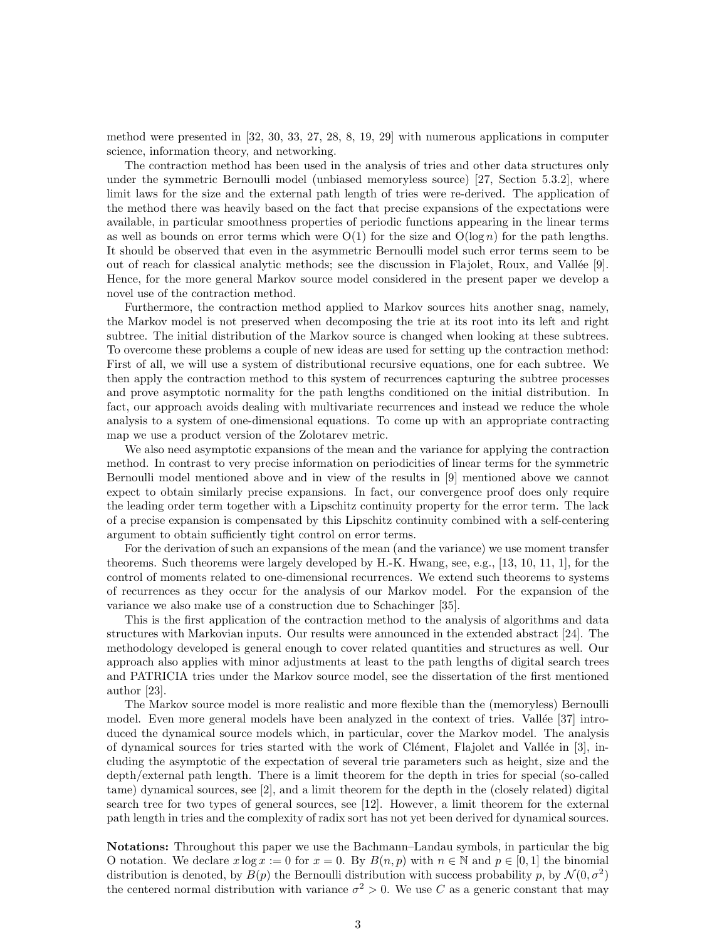method were presented in [32, 30, 33, 27, 28, 8, 19, 29] with numerous applications in computer science, information theory, and networking.

The contraction method has been used in the analysis of tries and other data structures only under the symmetric Bernoulli model (unbiased memoryless source) [27, Section 5.3.2], where limit laws for the size and the external path length of tries were re-derived. The application of the method there was heavily based on the fact that precise expansions of the expectations were available, in particular smoothness properties of periodic functions appearing in the linear terms as well as bounds on error terms which were  $O(1)$  for the size and  $O(\log n)$  for the path lengths. It should be observed that even in the asymmetric Bernoulli model such error terms seem to be out of reach for classical analytic methods; see the discussion in Flajolet, Roux, and Vallée  $[9]$ . Hence, for the more general Markov source model considered in the present paper we develop a novel use of the contraction method.

Furthermore, the contraction method applied to Markov sources hits another snag, namely, the Markov model is not preserved when decomposing the trie at its root into its left and right subtree. The initial distribution of the Markov source is changed when looking at these subtrees. To overcome these problems a couple of new ideas are used for setting up the contraction method: First of all, we will use a system of distributional recursive equations, one for each subtree. We then apply the contraction method to this system of recurrences capturing the subtree processes and prove asymptotic normality for the path lengths conditioned on the initial distribution. In fact, our approach avoids dealing with multivariate recurrences and instead we reduce the whole analysis to a system of one-dimensional equations. To come up with an appropriate contracting map we use a product version of the Zolotarev metric.

We also need asymptotic expansions of the mean and the variance for applying the contraction method. In contrast to very precise information on periodicities of linear terms for the symmetric Bernoulli model mentioned above and in view of the results in [9] mentioned above we cannot expect to obtain similarly precise expansions. In fact, our convergence proof does only require the leading order term together with a Lipschitz continuity property for the error term. The lack of a precise expansion is compensated by this Lipschitz continuity combined with a self-centering argument to obtain sufficiently tight control on error terms.

For the derivation of such an expansions of the mean (and the variance) we use moment transfer theorems. Such theorems were largely developed by H.-K. Hwang, see, e.g., [13, 10, 11, 1], for the control of moments related to one-dimensional recurrences. We extend such theorems to systems of recurrences as they occur for the analysis of our Markov model. For the expansion of the variance we also make use of a construction due to Schachinger [35].

This is the first application of the contraction method to the analysis of algorithms and data structures with Markovian inputs. Our results were announced in the extended abstract [24]. The methodology developed is general enough to cover related quantities and structures as well. Our approach also applies with minor adjustments at least to the path lengths of digital search trees and PATRICIA tries under the Markov source model, see the dissertation of the first mentioned author [23].

The Markov source model is more realistic and more flexible than the (memoryless) Bernoulli model. Even more general models have been analyzed in the context of tries. Vallée [37] introduced the dynamical source models which, in particular, cover the Markov model. The analysis of dynamical sources for tries started with the work of Clément, Flajolet and Vallée in  $[3]$ , including the asymptotic of the expectation of several trie parameters such as height, size and the depth/external path length. There is a limit theorem for the depth in tries for special (so-called tame) dynamical sources, see [2], and a limit theorem for the depth in the (closely related) digital search tree for two types of general sources, see [12]. However, a limit theorem for the external path length in tries and the complexity of radix sort has not yet been derived for dynamical sources.

Notations: Throughout this paper we use the Bachmann–Landau symbols, in particular the big O notation. We declare  $x \log x := 0$  for  $x = 0$ . By  $B(n, p)$  with  $n \in \mathbb{N}$  and  $p \in [0, 1]$  the binomial distribution is denoted, by  $B(p)$  the Bernoulli distribution with success probability p, by  $\mathcal{N}(0, \sigma^2)$ the centered normal distribution with variance  $\sigma^2 > 0$ . We use C as a generic constant that may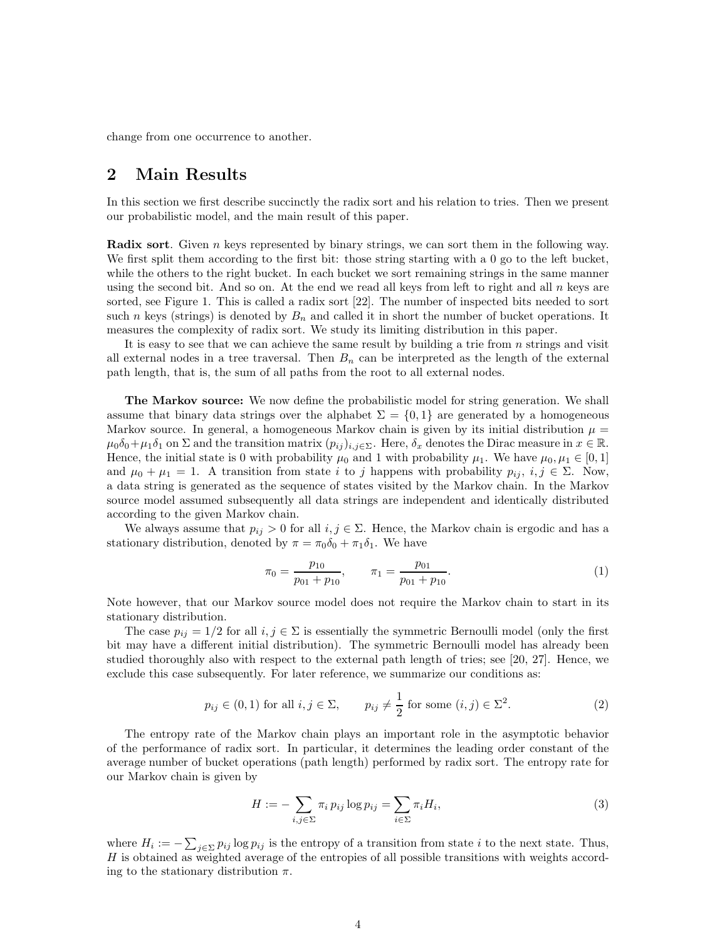change from one occurrence to another.

### 2 Main Results

In this section we first describe succinctly the radix sort and his relation to tries. Then we present our probabilistic model, and the main result of this paper.

**Radix sort.** Given n keys represented by binary strings, we can sort them in the following way. We first split them according to the first bit: those string starting with a 0 go to the left bucket, while the others to the right bucket. In each bucket we sort remaining strings in the same manner using the second bit. And so on. At the end we read all keys from left to right and all  $n$  keys are sorted, see Figure 1. This is called a radix sort [22]. The number of inspected bits needed to sort such n keys (strings) is denoted by  $B_n$  and called it in short the number of bucket operations. It measures the complexity of radix sort. We study its limiting distribution in this paper.

It is easy to see that we can achieve the same result by building a trie from  $n$  strings and visit all external nodes in a tree traversal. Then  $B_n$  can be interpreted as the length of the external path length, that is, the sum of all paths from the root to all external nodes.

The Markov source: We now define the probabilistic model for string generation. We shall assume that binary data strings over the alphabet  $\Sigma = \{0,1\}$  are generated by a homogeneous Markov source. In general, a homogeneous Markov chain is given by its initial distribution  $\mu =$  $\mu_0\delta_0+\mu_1\delta_1$  on  $\Sigma$  and the transition matrix  $(p_{ij})_{i,j\in\Sigma}$ . Here,  $\delta_x$  denotes the Dirac measure in  $x\in\mathbb{R}$ . Hence, the initial state is 0 with probability  $\mu_0$  and 1 with probability  $\mu_1$ . We have  $\mu_0, \mu_1 \in [0,1]$ and  $\mu_0 + \mu_1 = 1$ . A transition from state i to j happens with probability  $p_{ii}$ ,  $i, j \in \Sigma$ . Now, a data string is generated as the sequence of states visited by the Markov chain. In the Markov source model assumed subsequently all data strings are independent and identically distributed according to the given Markov chain.

We always assume that  $p_{ij} > 0$  for all  $i, j \in \Sigma$ . Hence, the Markov chain is ergodic and has a stationary distribution, denoted by  $\pi = \pi_0 \delta_0 + \pi_1 \delta_1$ . We have

$$
\pi_0 = \frac{p_{10}}{p_{01} + p_{10}}, \qquad \pi_1 = \frac{p_{01}}{p_{01} + p_{10}}.
$$
 (1)

Note however, that our Markov source model does not require the Markov chain to start in its stationary distribution.

The case  $p_{ij} = 1/2$  for all  $i, j \in \Sigma$  is essentially the symmetric Bernoulli model (only the first bit may have a different initial distribution). The symmetric Bernoulli model has already been studied thoroughly also with respect to the external path length of tries; see [20, 27]. Hence, we exclude this case subsequently. For later reference, we summarize our conditions as:

$$
p_{ij} \in (0,1) \text{ for all } i, j \in \Sigma, \qquad p_{ij} \neq \frac{1}{2} \text{ for some } (i,j) \in \Sigma^2.
$$
 (2)

The entropy rate of the Markov chain plays an important role in the asymptotic behavior of the performance of radix sort. In particular, it determines the leading order constant of the average number of bucket operations (path length) performed by radix sort. The entropy rate for our Markov chain is given by

$$
H := -\sum_{i,j\in\Sigma} \pi_i \, p_{ij} \log p_{ij} = \sum_{i\in\Sigma} \pi_i H_i,\tag{3}
$$

where  $H_i := -\sum_{j \in \Sigma} p_{ij} \log p_{ij}$  is the entropy of a transition from state i to the next state. Thus,  $H$  is obtained as weighted average of the entropies of all possible transitions with weights according to the stationary distribution  $\pi$ .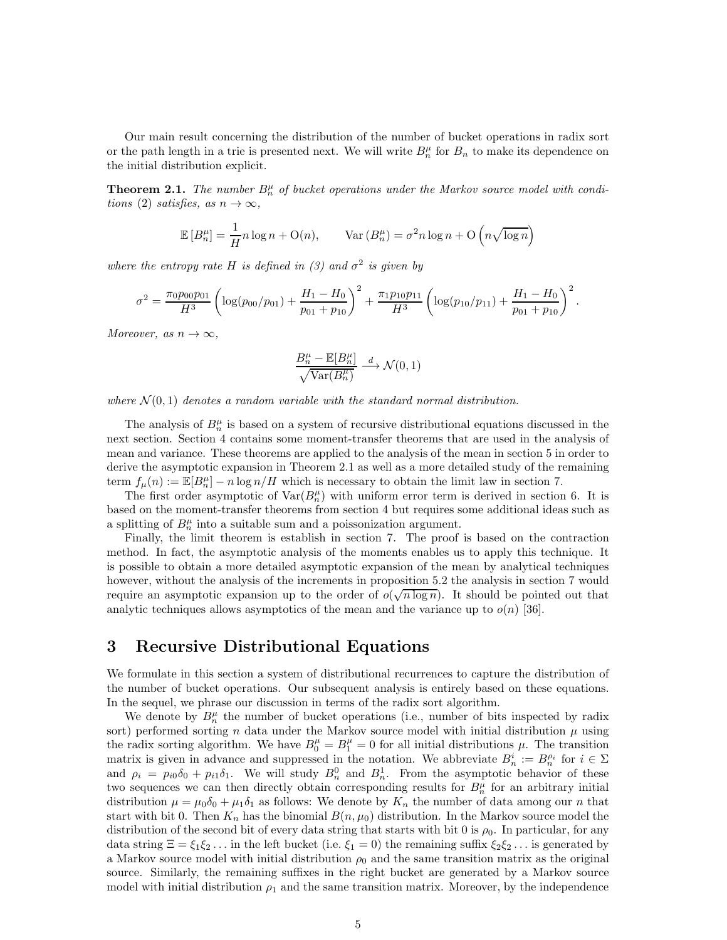Our main result concerning the distribution of the number of bucket operations in radix sort or the path length in a trie is presented next. We will write  $B_n^{\mu}$  for  $B_n$  to make its dependence on the initial distribution explicit.

**Theorem 2.1.** The number  $B_n^{\mu}$  of bucket operations under the Markov source model with condi*tions* (2) *satisfies, as*  $n \to \infty$ *,* 

$$
\mathbb{E}[B_n^{\mu}] = \frac{1}{H} n \log n + \mathcal{O}(n), \qquad \text{Var}(B_n^{\mu}) = \sigma^2 n \log n + \mathcal{O}\left(n \sqrt{\log n}\right)
$$

*where the entropy rate* H *is defined in* (3) and  $\sigma^2$  *is given by* 

$$
\sigma^2 = \frac{\pi_0 p_{00} p_{01}}{H^3} \left( \log(p_{00}/p_{01}) + \frac{H_1 - H_0}{p_{01} + p_{10}} \right)^2 + \frac{\pi_1 p_{10} p_{11}}{H^3} \left( \log(p_{10}/p_{11}) + \frac{H_1 - H_0}{p_{01} + p_{10}} \right)^2.
$$

*Moreover, as*  $n \to \infty$ *,* 

$$
\frac{B_n^\mu - \mathbb{E}[B_n^\mu]}{\sqrt{\text{Var}(B_n^\mu)}} \stackrel{d}{\longrightarrow} \mathcal{N}(0,1)
$$

where  $\mathcal{N}(0,1)$  denotes a random variable with the standard normal distribution.

The analysis of  $B_n^{\mu}$  is based on a system of recursive distributional equations discussed in the next section. Section 4 contains some moment-transfer theorems that are used in the analysis of mean and variance. These theorems are applied to the analysis of the mean in section 5 in order to derive the asymptotic expansion in Theorem 2.1 as well as a more detailed study of the remaining term  $f_{\mu}(n) := \mathbb{E}[B_n^{\mu}] - n \log n / H$  which is necessary to obtain the limit law in section 7.

The first order asymptotic of  $\text{Var}(B_n^{\mu})$  with uniform error term is derived in section 6. It is based on the moment-transfer theorems from section 4 but requires some additional ideas such as a splitting of  $B_n^{\mu}$  into a suitable sum and a poissonization argument.

Finally, the limit theorem is establish in section 7. The proof is based on the contraction method. In fact, the asymptotic analysis of the moments enables us to apply this technique. It is possible to obtain a more detailed asymptotic expansion of the mean by analytical techniques however, without the analysis of the increments in proposition 5.2 the analysis in section 7 would require an asymptotic expansion up to the order of  $o(\sqrt{n \log n})$ . It should be pointed out that analytic techniques allows asymptotics of the mean and the variance up to  $o(n)$  [36].

### 3 Recursive Distributional Equations

We formulate in this section a system of distributional recurrences to capture the distribution of the number of bucket operations. Our subsequent analysis is entirely based on these equations. In the sequel, we phrase our discussion in terms of the radix sort algorithm.

We denote by  $B_n^{\mu}$  the number of bucket operations (i.e., number of bits inspected by radix sort) performed sorting n data under the Markov source model with initial distribution  $\mu$  using the radix sorting algorithm. We have  $B_0^{\mu} = B_1^{\mu} = 0$  for all initial distributions  $\mu$ . The transition matrix is given in advance and suppressed in the notation. We abbreviate  $B_n^i := B_n^{\rho_i}$  for  $i \in \Sigma$ and  $\rho_i = p_{i0}\delta_0 + p_{i1}\delta_1$ . We will study  $B_n^0$  and  $B_n^1$ . From the asymptotic behavior of these two sequences we can then directly obtain corresponding results for  $B_n^{\mu}$  for an arbitrary initial distribution  $\mu = \mu_0 \delta_0 + \mu_1 \delta_1$  as follows: We denote by  $K_n$  the number of data among our n that start with bit 0. Then  $K_n$  has the binomial  $B(n, \mu_0)$  distribution. In the Markov source model the distribution of the second bit of every data string that starts with bit 0 is  $\rho_0$ . In particular, for any data string  $\Xi = \xi_1 \xi_2 \ldots$  in the left bucket (i.e.  $\xi_1 = 0$ ) the remaining suffix  $\xi_2 \xi_2 \ldots$  is generated by a Markov source model with initial distribution  $\rho_0$  and the same transition matrix as the original source. Similarly, the remaining suffixes in the right bucket are generated by a Markov source model with initial distribution  $\rho_1$  and the same transition matrix. Moreover, by the independence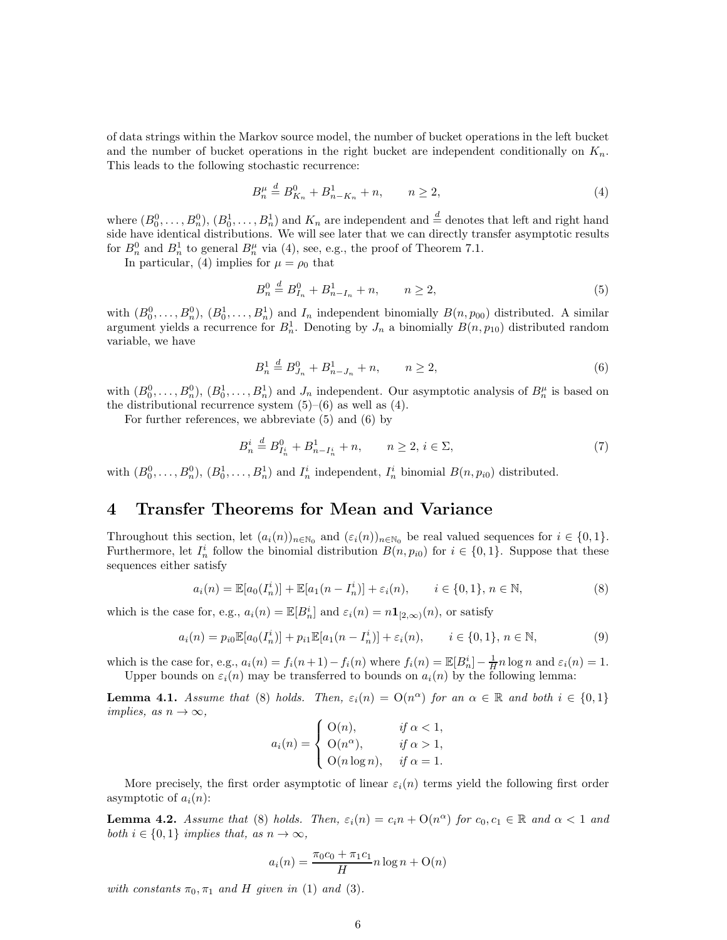of data strings within the Markov source model, the number of bucket operations in the left bucket and the number of bucket operations in the right bucket are independent conditionally on  $K_n$ . This leads to the following stochastic recurrence:

$$
B_n^{\mu} \stackrel{d}{=} B_{K_n}^0 + B_{n-K_n}^1 + n, \qquad n \ge 2,
$$
\n(4)

where  $(B_0^0, \ldots, B_n^0), (B_0^1, \ldots, B_n^1)$  and  $K_n$  are independent and  $\stackrel{d}{=}$  denotes that left and right hand side have identical distributions. We will see later that we can directly transfer asymptotic results for  $B_n^0$  and  $B_n^1$  to general  $B_n^{\mu}$  via (4), see, e.g., the proof of Theorem 7.1.

In particular, (4) implies for  $\mu = \rho_0$  that

$$
B_n^0 \stackrel{d}{=} B_{I_n}^0 + B_{n-I_n}^1 + n, \qquad n \ge 2,
$$
\n<sup>(5)</sup>

with  $(B_0^0, \ldots, B_n^0), (B_0^1, \ldots, B_n^1)$  and  $I_n$  independent binomially  $B(n, p_{00})$  distributed. A similar argument yields a recurrence for  $B_n^1$ . Denoting by  $J_n$  a binomially  $B(n, p_{10})$  distributed random variable, we have

$$
B_n^1 \stackrel{d}{=} B_{J_n}^0 + B_{n-J_n}^1 + n, \qquad n \ge 2,
$$
\n(6)

with  $(B_0^0, \ldots, B_n^0), (B_0^1, \ldots, B_n^1)$  and  $J_n$  independent. Our asymptotic analysis of  $B_n^{\mu}$  is based on the distributional recurrence system  $(5)-(6)$  as well as  $(4)$ .

For further references, we abbreviate (5) and (6) by

$$
B_n^i \stackrel{d}{=} B_{I_n^i}^0 + B_{n - I_n^i}^1 + n, \qquad n \ge 2, \ i \in \Sigma,
$$
\n<sup>(7)</sup>

with  $(B_0^0, \ldots, B_n^0), (B_0^1, \ldots, B_n^1)$  and  $I_n^i$  independent,  $I_n^i$  binomial  $B(n, p_{i0})$  distributed.

### 4 Transfer Theorems for Mean and Variance

Throughout this section, let  $(a_i(n))_{n\in\mathbb{N}_0}$  and  $(\varepsilon_i(n))_{n\in\mathbb{N}_0}$  be real valued sequences for  $i \in \{0,1\}$ . Furthermore, let  $I_n^i$  follow the binomial distribution  $B(n, p_{i0})$  for  $i \in \{0, 1\}$ . Suppose that these sequences either satisfy

$$
a_i(n) = \mathbb{E}[a_0(I_n^i)] + \mathbb{E}[a_1(n - I_n^i)] + \varepsilon_i(n), \qquad i \in \{0, 1\}, n \in \mathbb{N},
$$
\n(8)

which is the case for, e.g.,  $a_i(n) = \mathbb{E}[B_n^i]$  and  $\varepsilon_i(n) = n \mathbf{1}_{[2,\infty)}(n)$ , or satisfy

$$
a_i(n) = p_{i0} \mathbb{E}[a_0(I_n^i)] + p_{i1} \mathbb{E}[a_1(n - I_n^i)] + \varepsilon_i(n), \qquad i \in \{0, 1\}, n \in \mathbb{N},
$$
\n(9)

which is the case for, e.g.,  $a_i(n) = f_i(n+1) - f_i(n)$  where  $f_i(n) = \mathbb{E}[B_n^i] - \frac{1}{H}n \log n$  and  $\varepsilon_i(n) = 1$ . Upper bounds on  $\varepsilon_i(n)$  may be transferred to bounds on  $a_i(n)$  by the following lemma:

**Lemma 4.1.** *Assume that* (8) *holds. Then,*  $\varepsilon_i(n) = O(n^{\alpha})$  *for an*  $\alpha \in \mathbb{R}$  *and both*  $i \in \{0, 1\}$ *implies, as*  $n \to \infty$ *,* 

$$
a_i(n) = \begin{cases} \nO(n), & \text{if } \alpha < 1, \\ \nO(n^{\alpha}), & \text{if } \alpha > 1, \\ \nO(n \log n), & \text{if } \alpha = 1. \n\end{cases}
$$

More precisely, the first order asymptotic of linear  $\varepsilon_i(n)$  terms yield the following first order asymptotic of  $a_i(n)$ :

**Lemma 4.2.** *Assume that* (8) *holds. Then,*  $\varepsilon_i(n) = c_i n + O(n^{\alpha})$  *for*  $c_0, c_1 \in \mathbb{R}$  *and*  $\alpha < 1$  *and both*  $i \in \{0, 1\}$  *implies that, as*  $n \to \infty$ *,* 

$$
a_i(n) = \frac{\pi_0 c_0 + \pi_1 c_1}{H} n \log n + O(n)
$$

*with constants*  $\pi_0$ ,  $\pi_1$  *and H given in* (1) *and* (3)*.*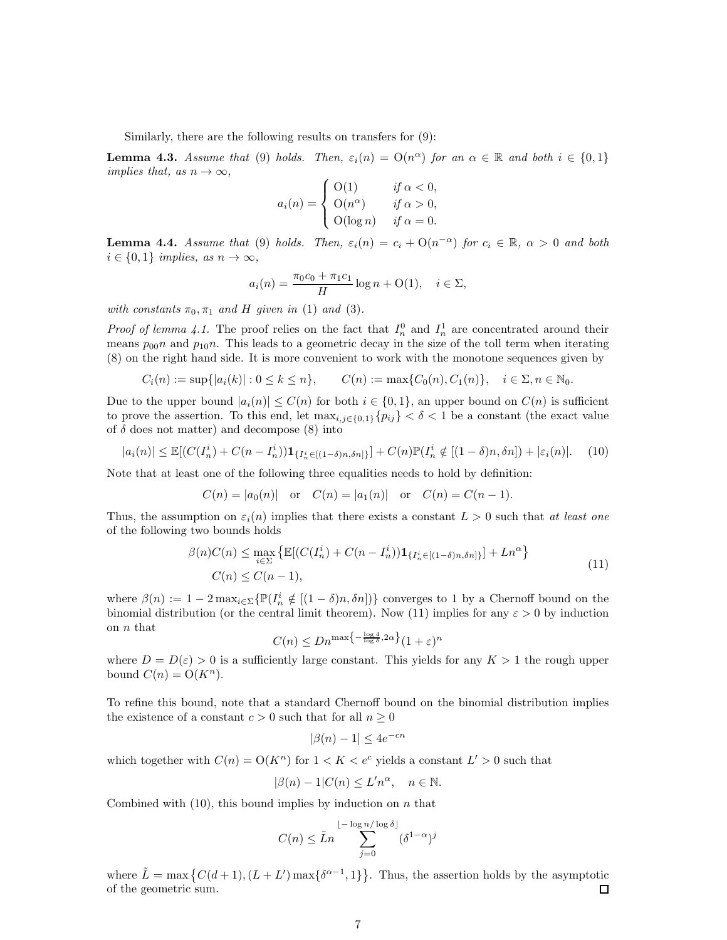Similarly, there are the following results on transfers for (9):

**Lemma 4.3.** *Assume that* (9) *holds. Then,*  $\varepsilon_i(n) = O(n^{\alpha})$  *for an*  $\alpha \in \mathbb{R}$  *and both*  $i \in \{0, 1\}$ *implies that, as*  $n \to \infty$ *,* 

$$
a_i(n) = \begin{cases} \nO(1) & \text{if } \alpha < 0, \\ \nO(n^{\alpha}) & \text{if } \alpha > 0, \\ \nO(\log n) & \text{if } \alpha = 0. \n\end{cases}
$$

**Lemma 4.4.** *Assume that* (9) *holds. Then,*  $\varepsilon_i(n) = c_i + O(n^{-\alpha})$  *for*  $c_i \in \mathbb{R}$ ,  $\alpha > 0$  *and both*  $i \in \{0,1\}$  *implies, as*  $n \to \infty$ *,* 

$$
a_i(n) = \frac{\pi_0 c_0 + \pi_1 c_1}{H} \log n + O(1), \quad i \in \Sigma,
$$

*with constants*  $\pi_0, \pi_1$  *and H given in* (1) *and* (3)*.* 

*Proof of lemma 4.1.* The proof relies on the fact that  $I_n^0$  and  $I_n^1$  are concentrated around their means  $p_{00}n$  and  $p_{10}n$ . This leads to a geometric decay in the size of the toll term when iterating (8) on the right hand side. It is more convenient to work with the monotone sequences given by

$$
C_i(n) := \sup\{|a_i(k)| : 0 \le k \le n\}, \qquad C(n) := \max\{C_0(n), C_1(n)\}, \quad i \in \Sigma, n \in \mathbb{N}_0.
$$

Due to the upper bound  $|a_i(n)| \leq C(n)$  for both  $i \in \{0,1\}$ , an upper bound on  $C(n)$  is sufficient to prove the assertion. To this end, let  $\max_{i,j\in\{0,1\}}\{p_{ij}\} < \delta < 1$  be a constant (the exact value of  $\delta$  does not matter) and decompose (8) into

$$
|a_i(n)| \le \mathbb{E}[(C(I_n^i) + C(n - I_n^i))\mathbf{1}_{\{I_n^i \in [(1-\delta)n,\delta n]\}}] + C(n)\mathbb{P}(I_n^i \notin [(1-\delta)n,\delta n]) + |\varepsilon_i(n)|. \tag{10}
$$

Note that at least one of the following three equalities needs to hold by definition:

$$
C(n) = |a_0(n)|
$$
 or  $C(n) = |a_1(n)|$  or  $C(n) = C(n-1)$ .

Thus, the assumption on  $\varepsilon_i(n)$  implies that there exists a constant  $L > 0$  such that *at least one* of the following two bounds holds

$$
\beta(n)C(n) \le \max_{i \in \Sigma} \left\{ \mathbb{E}[(C(I_n^i) + C(n - I_n^i)) \mathbf{1}_{\{I_n^i \in [(1 - \delta)n, \delta n]\}}] + Ln^{\alpha} \right\}
$$
  
(11)  

$$
C(n) \le C(n - 1),
$$

where  $\beta(n) := 1 - 2 \max_{i \in \Sigma} \{ \mathbb{P}(I_n^i \notin [(1 - \delta)n, \delta n]) \}$  converges to 1 by a Chernoff bound on the binomial distribution (or the central limit theorem). Now (11) implies for any  $\varepsilon > 0$  by induction on  $n$  that

$$
C(n) \le Dn^{\max\left\{-\frac{\log 4}{\log \delta}, 2\alpha\right\}} (1+\varepsilon)^n
$$

where  $D = D(\varepsilon) > 0$  is a sufficiently large constant. This yields for any  $K > 1$  the rough upper bound  $C(n) = O(K^n)$ .

To refine this bound, note that a standard Chernoff bound on the binomial distribution implies the existence of a constant  $c > 0$  such that for all  $n \geq 0$ 

$$
|\beta(n)-1|\leq 4e^{-cn}
$$

which together with  $C(n) = O(K^n)$  for  $1 < K < e^c$  yields a constant  $L' > 0$  such that

$$
|\beta(n) - 1|C(n) \le L'n^{\alpha}, \quad n \in \mathbb{N}.
$$

Combined with  $(10)$ , this bound implies by induction on n that

$$
C(n) \leq \tilde{L}n \sum_{j=0}^{\lfloor -\log n/\log \delta \rfloor} (\delta^{1-\alpha})^j
$$

where  $\tilde{L} = \max \left\{ C(d+1), (L+L') \max \{ \delta^{\alpha-1}, 1 \} \right\}$ . Thus, the assertion holds by the asymptotic of the geometric sum. □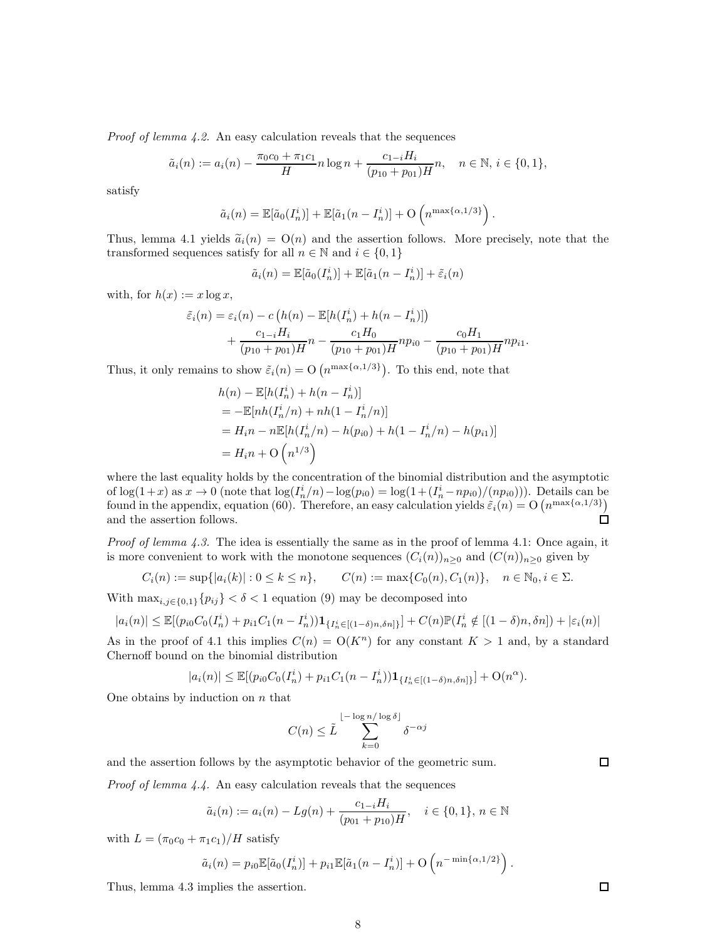*Proof of lemma 4.2.* An easy calculation reveals that the sequences

$$
\tilde{a}_i(n) := a_i(n) - \frac{\pi_0 c_0 + \pi_1 c_1}{H} n \log n + \frac{c_{1-i} H_i}{(p_{10} + p_{01})H} n, \quad n \in \mathbb{N}, i \in \{0, 1\},\
$$

satisfy

$$
\tilde{a}_i(n) = \mathbb{E}[\tilde{a}_0(I_n^i)] + \mathbb{E}[\tilde{a}_1(n - I_n^i)] + \mathcal{O}\left(n^{\max\{\alpha, 1/3\}}\right).
$$

Thus, lemma 4.1 yields  $\tilde{a}_i(n) = O(n)$  and the assertion follows. More precisely, note that the transformed sequences satisfy for all  $n \in \mathbb{N}$  and  $i \in \{0, 1\}$ 

$$
\tilde{a}_i(n) = \mathbb{E}[\tilde{a}_0(I_n^i)] + \mathbb{E}[\tilde{a}_1(n - I_n^i)] + \tilde{\varepsilon}_i(n)
$$

with, for  $h(x) := x \log x$ ,

$$
\tilde{\varepsilon}_i(n) = \varepsilon_i(n) - c\left(h(n) - \mathbb{E}[h(I_n^i) + h(n - I_n^i)]\right) \n+ \frac{c_{1-i}H_i}{(p_{10} + p_{01})H}n - \frac{c_1H_0}{(p_{10} + p_{01})H}np_{i0} - \frac{c_0H_1}{(p_{10} + p_{01})H}np_{i1}.
$$

Thus, it only remains to show  $\tilde{\varepsilon}_i(n) = \mathcal{O}\left(n^{\max\{\alpha,1/3\}}\right)$ . To this end, note that

$$
h(n) - \mathbb{E}[h(I_n^i) + h(n - I_n^i)]
$$
  
=  $-\mathbb{E}[nh(I_n^i/n) + nh(1 - I_n^i/n)]$   
=  $H_i n - n \mathbb{E}[h(I_n^i/n) - h(p_{i0}) + h(1 - I_n^i/n) - h(p_{i1})]$   
=  $H_i n + O(n^{1/3})$ 

where the last equality holds by the concentration of the binomial distribution and the asymptotic of  $\log(1+x)$  as  $x \to 0$  (note that  $\log(I_n^i/n) - \log(p_{i0}) = \log(1 + (I_n^i - np_{i0})/(np_{i0})))$ . Details can be found in the appendix, equation (60). Therefore, an easy calculation yields  $\tilde{\varepsilon}_i(n) = O(n^{\max\{\alpha,1/3\}})$ and the assertion follows. □

*Proof of lemma 4.3.* The idea is essentially the same as in the proof of lemma 4.1: Once again, it is more convenient to work with the monotone sequences  $(C_i(n))_{n\geq 0}$  and  $(C(n))_{n\geq 0}$  given by

$$
C_i(n) := \sup\{|a_i(k)| : 0 \le k \le n\}, \qquad C(n) := \max\{C_0(n), C_1(n)\}, \quad n \in \mathbb{N}_0, i \in \Sigma.
$$

With  $\max_{i,j\in\{0,1\}}\{p_{ij}\}<\delta<1$  equation (9) may be decomposed into

$$
|a_i(n)| \le \mathbb{E}[(p_{i0}C_0(I_n^i) + p_{i1}C_1(n - I_n^i))\mathbf{1}_{\{I_n^i \in [(1-\delta)n,\delta n]\}}] + C(n)\mathbb{P}(I_n^i \notin [(1-\delta)n,\delta n]) + |\varepsilon_i(n)|
$$

As in the proof of 4.1 this implies  $C(n) = O(K^n)$  for any constant  $K > 1$  and, by a standard Chernoff bound on the binomial distribution

$$
|a_i(n)| \leq \mathbb{E}[(p_{i0}C_0(I_n^i) + p_{i1}C_1(n - I_n^i))\mathbf{1}_{\{I_n^i \in [(\mathbf{1}-\delta)n,\delta n]\}}] + \mathcal{O}(n^{\alpha}).
$$

One obtains by induction on  $n$  that

$$
C(n) \leq \tilde{L} \sum_{k=0}^{\lfloor -\log n/\log \delta \rfloor} \delta^{-\alpha j}
$$

and the assertion follows by the asymptotic behavior of the geometric sum.

*Proof of lemma 4.4.* An easy calculation reveals that the sequences

$$
\tilde{a}_i(n) := a_i(n) - Lg(n) + \frac{c_{1-i}H_i}{(p_{01} + p_{10})H}, \quad i \in \{0, 1\}, n \in \mathbb{N}
$$

with  $L = (\pi_0 c_0 + \pi_1 c_1)/H$  satisfy

$$
\tilde{a}_i(n) = p_{i0} \mathbb{E}[\tilde{a}_0(I_n^i)] + p_{i1} \mathbb{E}[\tilde{a}_1(n - I_n^i)] + O\left(n^{-\min\{\alpha, 1/2\}}\right)
$$

Thus, lemma 4.3 implies the assertion.

 $\Box$ 

 $\Box$ 

.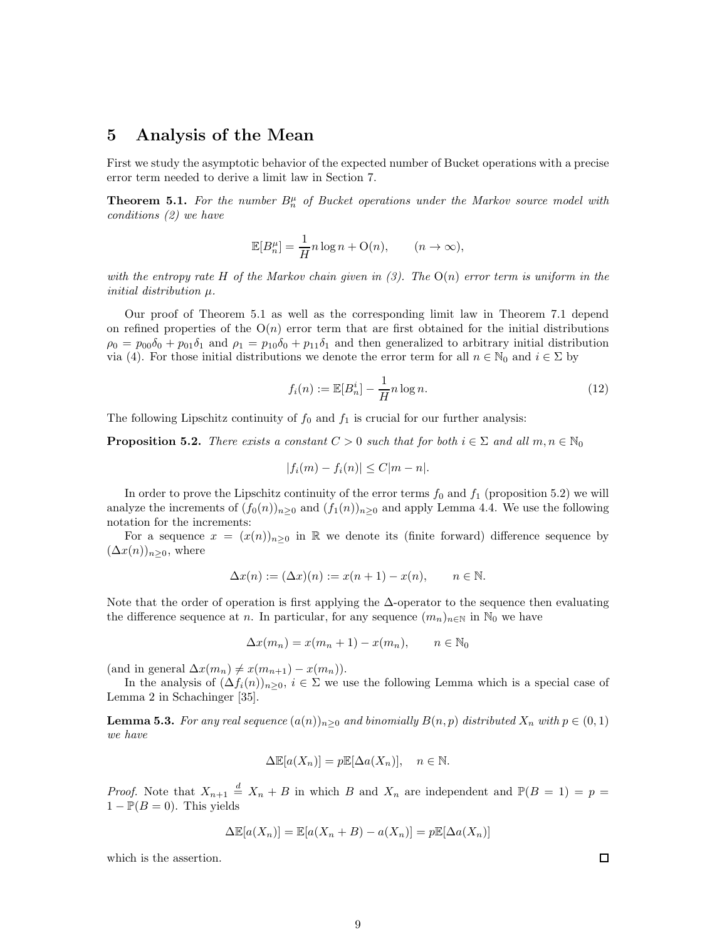### 5 Analysis of the Mean

First we study the asymptotic behavior of the expected number of Bucket operations with a precise error term needed to derive a limit law in Section 7.

**Theorem 5.1.** For the number  $B_n^{\mu}$  of Bucket operations under the Markov source model with *conditions (2) we have*

$$
\mathbb{E}[B_n^{\mu}] = \frac{1}{H} n \log n + \mathcal{O}(n), \qquad (n \to \infty),
$$

*with the entropy rate* H *of the Markov chain given in (3). The* O(n) *error term is uniform in the initial distribution* µ*.*

Our proof of Theorem 5.1 as well as the corresponding limit law in Theorem 7.1 depend on refined properties of the  $O(n)$  error term that are first obtained for the initial distributions  $\rho_0 = p_{00}\delta_0 + p_{01}\delta_1$  and  $\rho_1 = p_{10}\delta_0 + p_{11}\delta_1$  and then generalized to arbitrary initial distribution via (4). For those initial distributions we denote the error term for all  $n \in \mathbb{N}_0$  and  $i \in \Sigma$  by

$$
f_i(n) := \mathbb{E}[B_n^i] - \frac{1}{H}n \log n. \tag{12}
$$

The following Lipschitz continuity of  $f_0$  and  $f_1$  is crucial for our further analysis:

**Proposition 5.2.** *There exists a constant*  $C > 0$  *such that for both*  $i \in \Sigma$  *and all*  $m, n \in \mathbb{N}_0$ 

$$
|f_i(m) - f_i(n)| \le C|m - n|.
$$

In order to prove the Lipschitz continuity of the error terms  $f_0$  and  $f_1$  (proposition 5.2) we will analyze the increments of  $(f_0(n))_{n\geq 0}$  and  $(f_1(n))_{n\geq 0}$  and apply Lemma 4.4. We use the following notation for the increments:

For a sequence  $x = (x(n))_{n\geq 0}$  in R we denote its (finite forward) difference sequence by  $(\Delta x(n))_{n\geq 0}$ , where

$$
\Delta x(n) := (\Delta x)(n) := x(n+1) - x(n), \qquad n \in \mathbb{N}.
$$

Note that the order of operation is first applying the  $\Delta$ -operator to the sequence then evaluating the difference sequence at n. In particular, for any sequence  $(m_n)_{n\in\mathbb{N}}$  in  $\mathbb{N}_0$  we have

$$
\Delta x(m_n) = x(m_n + 1) - x(m_n), \qquad n \in \mathbb{N}_0
$$

(and in general  $\Delta x(m_n) \neq x(m_{n+1}) - x(m_n)$ ).

In the analysis of  $(\Delta f_i(n))_{n\geq 0}$ ,  $i \in \Sigma$  we use the following Lemma which is a special case of Lemma 2 in Schachinger [35].

**Lemma 5.3.** *For any real sequence*  $(a(n))_{n\geq 0}$  *and binomially*  $B(n, p)$  *distributed*  $X_n$  *with*  $p \in (0, 1)$ *we have*

$$
\Delta \mathbb{E}[a(X_n)] = p \mathbb{E}[\Delta a(X_n)], \quad n \in \mathbb{N}.
$$

*Proof.* Note that  $X_{n+1} \stackrel{d}{=} X_n + B$  in which B and  $X_n$  are independent and  $\mathbb{P}(B = 1) = p$  $1 - P(B = 0)$ . This yields

$$
\Delta \mathbb{E}[a(X_n)] = \mathbb{E}[a(X_n + B) - a(X_n)] = p\mathbb{E}[\Delta a(X_n)]
$$

which is the assertion.

$$
\Box
$$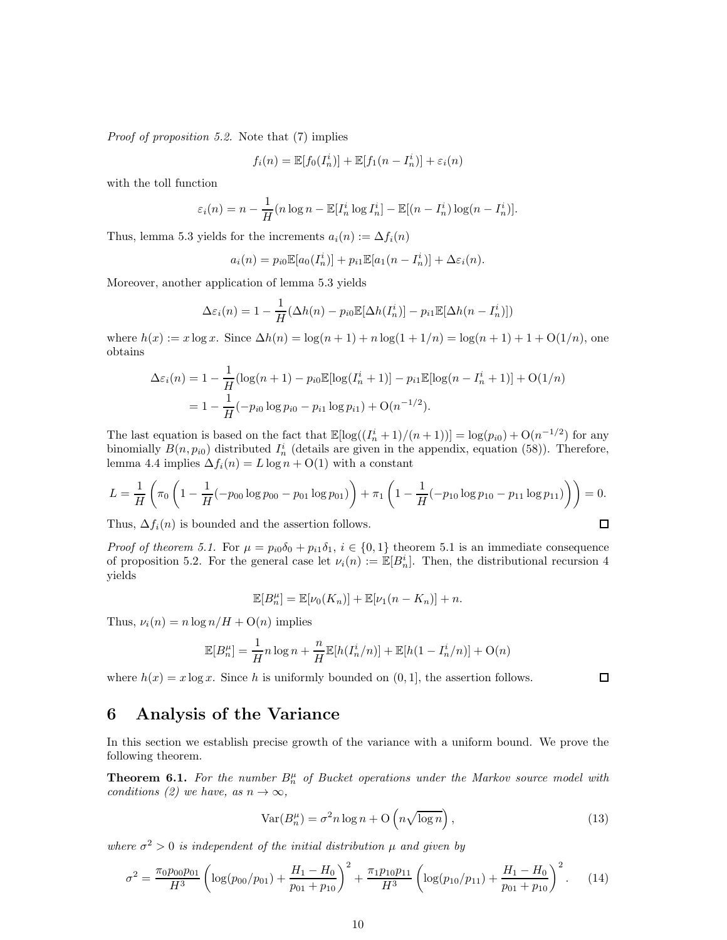*Proof of proposition 5.2.* Note that (7) implies

$$
f_i(n) = \mathbb{E}[f_0(I_n^i)] + \mathbb{E}[f_1(n - I_n^i)] + \varepsilon_i(n)
$$

with the toll function

$$
\varepsilon_i(n) = n - \frac{1}{H}(n \log n - \mathbb{E}[I_n^i \log I_n^i] - \mathbb{E}[(n - I_n^i) \log(n - I_n^i)].
$$

Thus, lemma 5.3 yields for the increments  $a_i(n) := \Delta f_i(n)$ 

$$
a_i(n) = p_{i0} \mathbb{E}[a_0(I_n^i)] + p_{i1} \mathbb{E}[a_1(n - I_n^i)] + \Delta \varepsilon_i(n).
$$

Moreover, another application of lemma 5.3 yields

$$
\Delta\varepsilon_i(n) = 1 - \frac{1}{H}(\Delta h(n) - p_{i0}\mathbb{E}[\Delta h(I_n^i)] - p_{i1}\mathbb{E}[\Delta h(n - I_n^i)])
$$

where  $h(x) := x \log x$ . Since  $\Delta h(n) = \log(n+1) + n \log(1+1/n) = \log(n+1) + 1 + O(1/n)$ , one obtains

$$
\Delta \varepsilon_i(n) = 1 - \frac{1}{H} (\log(n+1) - p_{i0} \mathbb{E}[\log(I_n^i + 1)] - p_{i1} \mathbb{E}[\log(n - I_n^i + 1)] + O(1/n)
$$
  
=  $1 - \frac{1}{H} (-p_{i0} \log p_{i0} - p_{i1} \log p_{i1}) + O(n^{-1/2}).$ 

The last equation is based on the fact that  $\mathbb{E}[\log((I_n^i + 1)/(n+1))] = \log(p_{i0}) + O(n^{-1/2})$  for any binomially  $B(n, p_{i0})$  distributed  $I_n^i$  (details are given in the appendix, equation (58)). Therefore, lemma 4.4 implies  $\Delta f_i(n) = L \log n + O(1)$  with a constant

$$
L = \frac{1}{H} \left( \pi_0 \left( 1 - \frac{1}{H} (-p_{00} \log p_{00} - p_{01} \log p_{01}) \right) + \pi_1 \left( 1 - \frac{1}{H} (-p_{10} \log p_{10} - p_{11} \log p_{11}) \right) \right) = 0.
$$
  
Thus,  $\Delta f_i(n)$  is bounded and the assertion follows.

Thus,  $\Delta f_i(n)$  is bounded and the assertion follows.

*Proof of theorem 5.1.* For  $\mu = p_{i0}\delta_0 + p_{i1}\delta_1$ ,  $i \in \{0,1\}$  theorem 5.1 is an immediate consequence of proposition 5.2. For the general case let  $\nu_i(n) := \mathbb{E}[B_n^i]$ . Then, the distributional recursion 4 yields

$$
\mathbb{E}[B_n^{\mu}] = \mathbb{E}[\nu_0(K_n)] + \mathbb{E}[\nu_1(n-K_n)] + n.
$$

Thus,  $\nu_i(n) = n \log n / H + O(n)$  implies

$$
\mathbb{E}[B_n^{\mu}] = \frac{1}{H} n \log n + \frac{n}{H} \mathbb{E}[h(I_n^i/n)] + \mathbb{E}[h(1 - I_n^i/n)] + O(n)
$$

where  $h(x) = x \log x$ . Since h is uniformly bounded on  $(0, 1]$ , the assertion follows.

## 6 Analysis of the Variance

In this section we establish precise growth of the variance with a uniform bound. We prove the following theorem.

**Theorem 6.1.** For the number  $B_n^{\mu}$  of Bucket operations under the Markov source model with *conditions (2) we have, as*  $n \to \infty$ *,* 

$$
Var(B_n^{\mu}) = \sigma^2 n \log n + O\left(n \sqrt{\log n}\right),\tag{13}
$$

where  $\sigma^2 > 0$  *is independent of the initial distribution*  $\mu$  *and given by* 

$$
\sigma^2 = \frac{\pi_0 p_{00} p_{01}}{H^3} \left( \log(p_{00}/p_{01}) + \frac{H_1 - H_0}{p_{01} + p_{10}} \right)^2 + \frac{\pi_1 p_{10} p_{11}}{H^3} \left( \log(p_{10}/p_{11}) + \frac{H_1 - H_0}{p_{01} + p_{10}} \right)^2.
$$
 (14)

```
\Box
```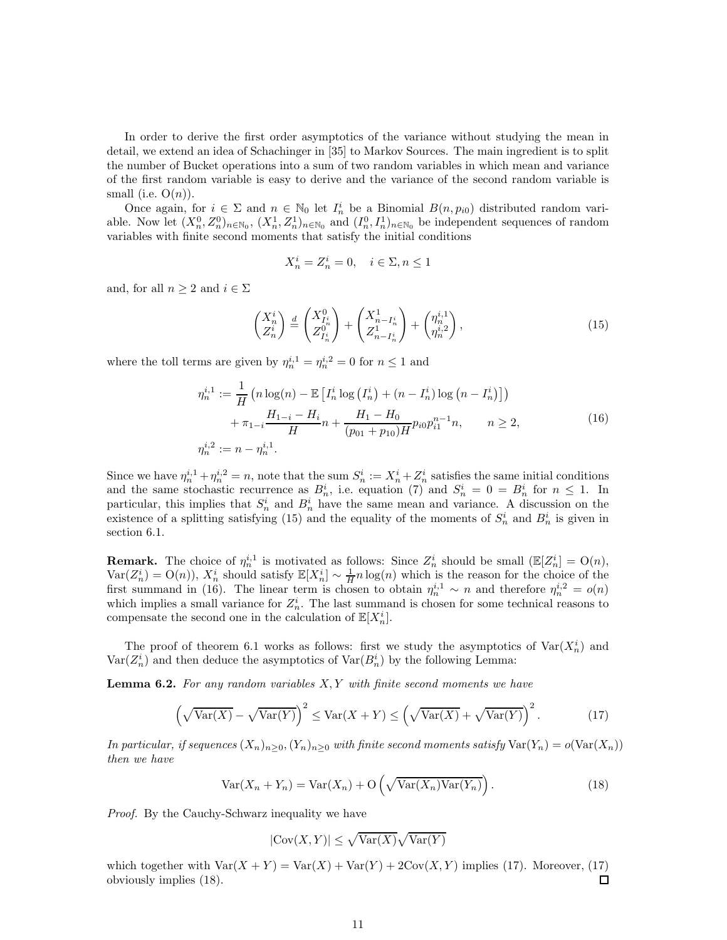In order to derive the first order asymptotics of the variance without studying the mean in detail, we extend an idea of Schachinger in [35] to Markov Sources. The main ingredient is to split the number of Bucket operations into a sum of two random variables in which mean and variance of the first random variable is easy to derive and the variance of the second random variable is small (i.e.  $O(n)$ ).

Once again, for  $i \in \Sigma$  and  $n \in \mathbb{N}_0$  let  $I_n^i$  be a Binomial  $B(n, p_{i0})$  distributed random variable. Now let  $(X_n^0, Z_n^0)_{n \in \mathbb{N}_0}$ ,  $(X_n^1, Z_n^1)_{n \in \mathbb{N}_0}$  and  $(I_n^0, I_n^1)_{n \in \mathbb{N}_0}$  be independent sequences of random variables with finite second moments that satisfy the initial conditions

$$
X_n^i = Z_n^i = 0, \quad i \in \Sigma, n \le 1
$$

and, for all  $n \geq 2$  and  $i \in \Sigma$ 

$$
\begin{pmatrix} X_n^i \\ Z_n^i \end{pmatrix} \stackrel{d}{=} \begin{pmatrix} X_{I_n^i}^0 \\ Z_{I_n^i}^0 \end{pmatrix} + \begin{pmatrix} X_{n-I_n^i}^1 \\ Z_{n-I_n^i}^1 \end{pmatrix} + \begin{pmatrix} \eta_n^{i,1} \\ \eta_n^{i,2} \end{pmatrix},
$$
\n(15)

where the toll terms are given by  $\eta_n^{i,1} = \eta_n^{i,2} = 0$  for  $n \le 1$  and

$$
\eta_n^{i,1} := \frac{1}{H} \left( n \log(n) - \mathbb{E} \left[ I_n^i \log \left( I_n^i \right) + (n - I_n^i) \log \left( n - I_n^i \right) \right] \right) + \pi_{1-i} \frac{H_{1-i} - H_i}{H} n + \frac{H_1 - H_0}{(p_{01} + p_{10}) H} p_{i0} p_{i1}^{n-1} n, \qquad n \ge 2,
$$
\n
$$
\eta_n^{i,2} := n - \eta_n^{i,1}.
$$
\n(16)

Since we have  $\eta_n^{i,1} + \eta_n^{i,2} = n$ , note that the sum  $S_n^i := X_n^i + Z_n^i$  satisfies the same initial conditions and the same stochastic recurrence as  $B_n^i$ , i.e. equation (7) and  $S_n^i = 0 = B_n^i$  for  $n \le 1$ . In particular, this implies that  $S_n^i$  and  $B_n^i$  have the same mean and variance. A discussion on the existence of a splitting satisfying (15) and the equality of the moments of  $S_n^i$  and  $B_n^i$  is given in section 6.1.

**Remark.** The choice of  $\eta_n^{i,1}$  is motivated as follows: Since  $Z_n^i$  should be small  $(\mathbb{E}[Z_n^i] = O(n))$ ,  $Var(Z_n^i) = O(n)$ ,  $X_n^i$  should satisfy  $\mathbb{E}[X_n^i] \sim \frac{1}{H}n \log(n)$  which is the reason for the choice of the first summand in (16). The linear term is chosen to obtain  $\eta_n^{i,1} \sim n$  and therefore  $\eta_n^{i,2} = o(n)$ which implies a small variance for  $Z_n^i$ . The last summand is chosen for some technical reasons to compensate the second one in the calculation of  $\mathbb{E}[X_n^i]$ .

The proof of theorem 6.1 works as follows: first we study the asymptotics of  $\text{Var}(X_n^i)$  and  $\text{Var}(Z_n^i)$  and then deduce the asymptotics of  $\text{Var}(B_n^i)$  by the following Lemma:

Lemma 6.2. *For any random variables* X, Y *with finite second moments we have*

$$
\left(\sqrt{\text{Var}(X)} - \sqrt{\text{Var}(Y)}\right)^2 \le \text{Var}(X + Y) \le \left(\sqrt{\text{Var}(X)} + \sqrt{\text{Var}(Y)}\right)^2. \tag{17}
$$

*In particular, if sequences*  $(X_n)_{n>0}$ ,  $(Y_n)_{n>0}$  *with finite second moments satisfy*  $Var(Y_n) = o(Var(X_n))$ *then we have*

$$
Var(X_n + Y_n) = Var(X_n) + O\left(\sqrt{Var(X_n)Var(Y_n)}\right).
$$
\n(18)

*Proof.* By the Cauchy-Schwarz inequality we have

$$
|\text{Cov}(X,Y)|\leq \sqrt{\text{Var}(X)}\sqrt{\text{Var}(Y)}
$$

which together with  $\text{Var}(X + Y) = \text{Var}(X) + \text{Var}(Y) + 2\text{Cov}(X, Y)$  implies (17). Moreover, (17) obviously implies (18). П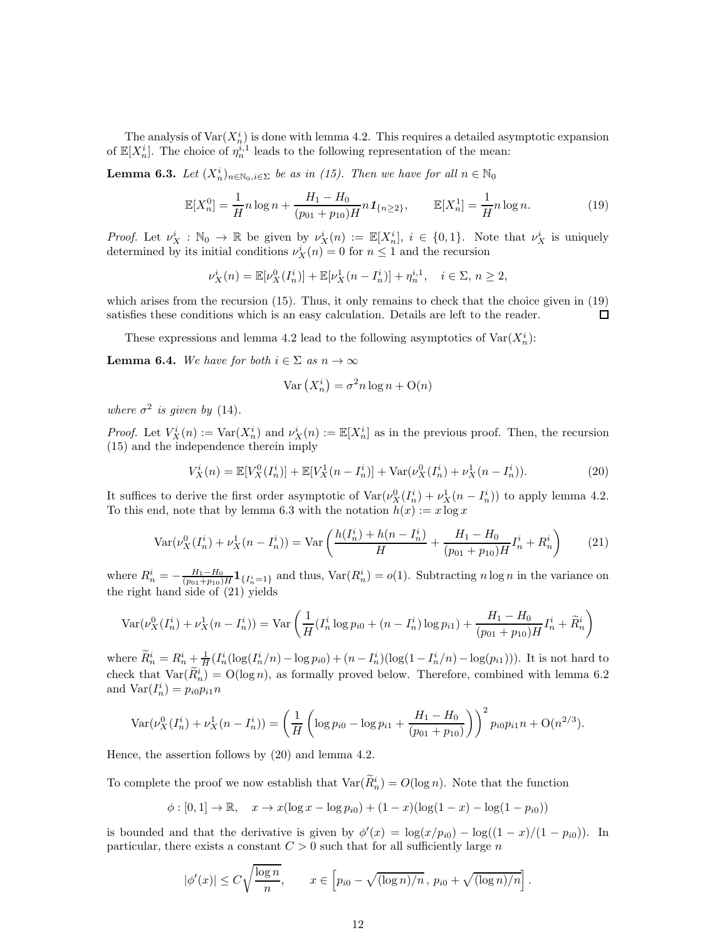The analysis of  $\text{Var}(X_n^i)$  is done with lemma 4.2. This requires a detailed asymptotic expansion of  $\mathbb{E}[X_n^i]$ . The choice of  $\eta_n^{i,1}$  leads to the following representation of the mean:

**Lemma 6.3.** *Let*  $(X_n^i)_{n \in \mathbb{N}_0, i \in \Sigma}$  *be as in (15). Then we have for all*  $n \in \mathbb{N}_0$ 

$$
\mathbb{E}[X_n^0] = \frac{1}{H} n \log n + \frac{H_1 - H_0}{(p_{01} + p_{10})H} n \mathbf{1}_{\{n \ge 2\}}, \qquad \mathbb{E}[X_n^1] = \frac{1}{H} n \log n. \tag{19}
$$

*Proof.* Let  $\nu_X^i : \mathbb{N}_0 \to \mathbb{R}$  be given by  $\nu_X^i(n) := \mathbb{E}[X_n^i], i \in \{0,1\}.$  Note that  $\nu_X^i$  is uniquely determined by its initial conditions  $\nu_X^i(n) = 0$  for  $n \leq 1$  and the recursion

$$
\nu_X^i(n) = \mathbb{E}[\nu_X^0(I_n^i)] + \mathbb{E}[\nu_X^1(n - I_n^i)] + \eta_n^{i,1}, \quad i \in \Sigma, n \ge 2,
$$

which arises from the recursion (15). Thus, it only remains to check that the choice given in (19) satisfies these conditions which is an easy calculation. Details are left to the reader. □

These expressions and lemma 4.2 lead to the following asymptotics of  $\text{Var}(X_n^i)$ :

**Lemma 6.4.** *We have for both*  $i \in \Sigma$  *as*  $n \to \infty$ 

$$
\text{Var}\left(X_n^i\right) = \sigma^2 n \log n + \mathcal{O}(n)
$$

*where*  $\sigma^2$  *is given by* (14).

*Proof.* Let  $V_X^i(n) := \text{Var}(X_n^i)$  and  $\nu_X^i(n) := \mathbb{E}[X_n^i]$  as in the previous proof. Then, the recursion (15) and the independence therein imply

$$
V_X^i(n) = \mathbb{E}[V_X^0(I_n^i)] + \mathbb{E}[V_X^1(n - I_n^i)] + \text{Var}(\nu_X^0(I_n^i) + \nu_X^1(n - I_n^i)).
$$
\n(20)

It suffices to derive the first order asymptotic of  $\text{Var}(\nu_X^0(I_n^i) + \nu_X^1(n - I_n^i))$  to apply lemma 4.2. To this end, note that by lemma 6.3 with the notation  $h(x) := x \log x$ 

$$
\text{Var}(\nu_X^0(I_n^i) + \nu_X^1(n - I_n^i)) = \text{Var}\left(\frac{h(I_n^i) + h(n - I_n^i)}{H} + \frac{H_1 - H_0}{(p_{01} + p_{10})H}I_n^i + R_n^i\right) \tag{21}
$$

where  $R_n^i = -\frac{H_1 - H_0}{(p_{01} + p_{10})H} \mathbf{1}_{\{I_n^i = 1\}}$  and thus,  $\text{Var}(R_n^i) = o(1)$ . Subtracting n log n in the variance on the right hand side of (21) yields

$$
\text{Var}(\nu_X^0(I_n^i) + \nu_X^1(n - I_n^i)) = \text{Var}\left(\frac{1}{H}(I_n^i \log p_{i0} + (n - I_n^i) \log p_{i1}) + \frac{H_1 - H_0}{(p_{01} + p_{10})H}I_n^i + \widetilde{R}_n^i\right)
$$

where  $\tilde{R}_n^i = R_n^i + \frac{1}{H} (I_n^i (\log(I_n^i/n) - \log p_{i0}) + (n - I_n^i)(\log(1 - I_n^i/n) - \log(p_{i1})))$ . It is not hard to check that  $\text{Var}(\tilde{R}_n^i) = \text{O}(\log n)$ , as formally proved below. Therefore, combined with lemma 6.2 and  $\text{Var}(I_n^i) = p_{i0}p_{i1}n$ 

$$
\text{Var}(\nu_X^0(I_n^i) + \nu_X^1(n - I_n^i)) = \left(\frac{1}{H}\left(\log p_{i0} - \log p_{i1} + \frac{H_1 - H_0}{(p_{01} + p_{10})}\right)\right)^2 p_{i0}p_{i1}n + O(n^{2/3}).
$$

Hence, the assertion follows by (20) and lemma 4.2.

To complete the proof we now establish that  $\text{Var}(\tilde{R}_n^i) = O(\log n)$ . Note that the function

$$
\phi : [0, 1] \to \mathbb{R}, \quad x \to x(\log x - \log p_{i0}) + (1 - x)(\log(1 - x) - \log(1 - p_{i0}))
$$

is bounded and that the derivative is given by  $\phi'(x) = \log(x/p_{i0}) - \log((1-x)/(1-p_{i0}))$ . In particular, there exists a constant  $C > 0$  such that for all sufficiently large n

$$
|\phi'(x)| \le C \sqrt{\frac{\log n}{n}}, \qquad x \in [p_{i0} - \sqrt{(\log n)/n}, p_{i0} + \sqrt{(\log n)/n}].
$$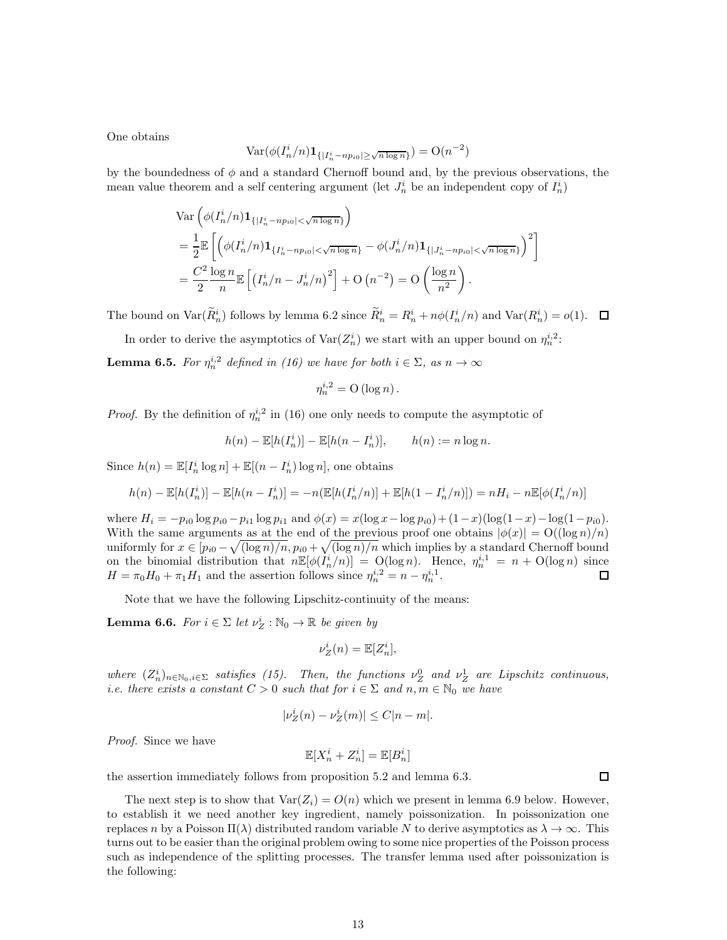One obtains

$$
\text{Var}(\phi(I_n^i/n)\mathbf{1}_{\{|I_n^i-np_{i0}|\geq \sqrt{n\log n}\}})=\mathcal{O}(n^{-2})
$$

by the boundedness of  $\phi$  and a standard Chernoff bound and, by the previous observations, the mean value theorem and a self centering argument (let  $J_n^i$  be an independent copy of  $I_n^i$ )

$$
\begin{split} &\text{Var}\left(\phi(I_n^i/n)\mathbf{1}_{\{|I_n^i - np_{i0}| < \sqrt{n \log n}\}}\right) \\ &= \frac{1}{2} \mathbb{E}\left[\left(\phi(I_n^i/n)\mathbf{1}_{\{I_n^i - np_{i0}| < \sqrt{n \log n}\}} - \phi(J_n^i/n)\mathbf{1}_{\{|J_n^i - np_{i0}| < \sqrt{n \log n}\}}\right)^2\right] \\ &= \frac{C^2}{2} \frac{\log n}{n} \mathbb{E}\left[\left(I_n^i/n - J_n^i/n\right)^2\right] + \text{O}\left(n^{-2}\right) = \text{O}\left(\frac{\log n}{n^2}\right). \end{split}
$$

The bound on  $\text{Var}(\hat{R}_n^i)$  follows by lemma 6.2 since  $\hat{R}_n^i = R_n^i + n\phi(I_n^i/n)$  and  $\text{Var}(R_n^i) = o(1)$ .  $\Box$ 

In order to derive the asymptotics of  $\text{Var}(Z_n^i)$  we start with an upper bound on  $\eta_n^{i,2}$ :

**Lemma 6.5.** *For*  $\eta_n^{i,2}$  *defined in (16) we have for both*  $i \in \Sigma$ *, as*  $n \to \infty$ 

$$
\eta_n^{i,2} = \mathcal{O}\left(\log n\right).
$$

*Proof.* By the definition of  $\eta_n^{i,2}$  in (16) one only needs to compute the asymptotic of

$$
h(n) - \mathbb{E}[h(I_n^i)] - \mathbb{E}[h(n - I_n^i)], \qquad h(n) := n \log n.
$$

Since  $h(n) = \mathbb{E}[I_n^i \log n] + \mathbb{E}[(n - I_n^i) \log n]$ , one obtains

$$
h(n) - \mathbb{E}[h(I_n^i)] - \mathbb{E}[h(n - I_n^i)] = -n(\mathbb{E}[h(I_n^i/n)] + \mathbb{E}[h(1 - I_n^i/n)]) = nH_i - n\mathbb{E}[\phi(I_n^i/n)]
$$

where  $H_i = -p_{i0} \log p_{i0} - p_{i1} \log p_{i1}$  and  $\phi(x) = x(\log x - \log p_{i0}) + (1-x)(\log(1-x) - \log(1-p_{i0}))$ . With the same arguments as at the end of the previous proof one obtains  $|\phi(x)| = O((\log n)/n)$ uniformly for  $x \in [p_{i0} - \sqrt{(\log n)/n}, p_{i0} + \sqrt{(\log n)/n}$  which implies by a standard Chernoff bound on the binomial distribution that  $n \mathbb{E}[\phi(I_n^i/n)] = O(\log n)$ . Hence,  $\eta_n^{i,1} = n + O(\log n)$  since  $H = \pi_0 H_0 + \pi_1 H_1$  and the assertion follows since  $\eta_n^{i,2} = n - \eta_n^{i,1}$ .

Note that we have the following Lipschitz-continuity of the means:

**Lemma 6.6.** *For*  $i \in \Sigma$  *let*  $\nu_Z^i : \mathbb{N}_0 \to \mathbb{R}$  *be given by* 

$$
\nu_Z^i(n) = \mathbb{E}[Z_n^i],
$$

where  $(Z_n^i)_{n \in \mathbb{N}_0, i \in \Sigma}$  satisfies (15). Then, the functions  $\nu_Z^0$  and  $\nu_Z^1$  are Lipschitz continuous, *i.e. there exists a constant*  $C > 0$  *such that for*  $i \in \Sigma$  *and*  $n, m \in \mathbb{N}_0$  *we have* 

$$
|\nu_Z^i(n) - \nu_Z^i(m)| \le C|n-m|.
$$

*Proof.* Since we have

$$
\mathbb{E}[X_n^i + Z_n^i] = \mathbb{E}[B_n^i]
$$

the assertion immediately follows from proposition 5.2 and lemma 6.3.

 $\Box$ 

The next step is to show that  $\text{Var}(Z_i) = O(n)$  which we present in lemma 6.9 below. However, to establish it we need another key ingredient, namely poissonization. In poissonization one replaces n by a Poisson  $\Pi(\lambda)$  distributed random variable N to derive asymptotics as  $\lambda \to \infty$ . This turns out to be easier than the original problem owing to some nice properties of the Poisson process such as independence of the splitting processes. The transfer lemma used after poissonization is the following: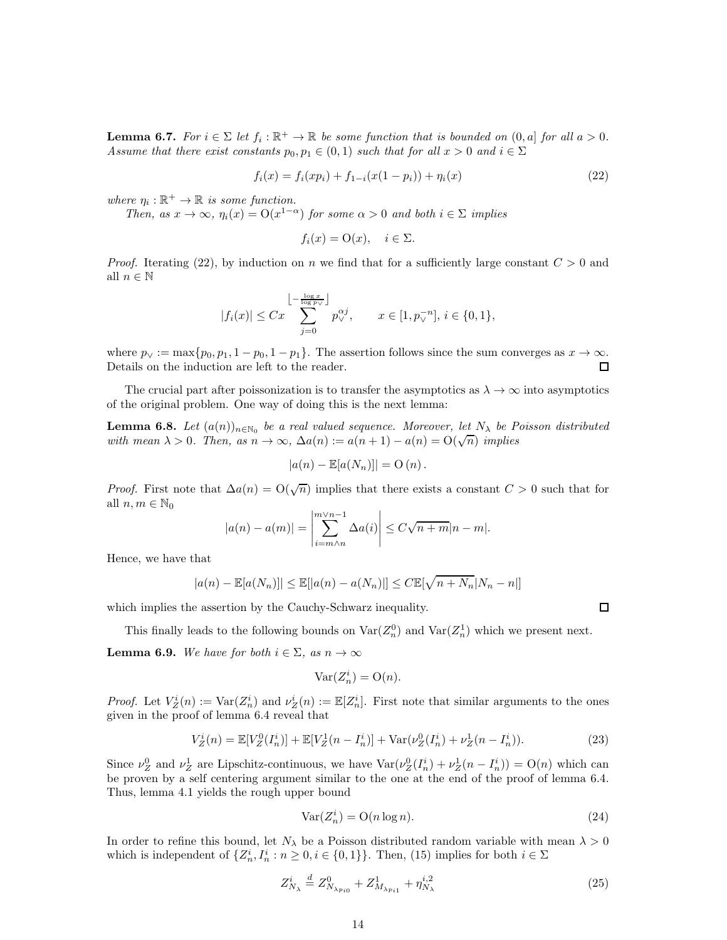**Lemma 6.7.** *For*  $i \in \Sigma$  *let*  $f_i : \mathbb{R}^+ \to \mathbb{R}$  *be some function that is bounded on*  $(0, a]$  *for all*  $a > 0$ *. Assume that there exist constants*  $p_0, p_1 \in (0, 1)$  *such that for all*  $x > 0$  *and*  $i \in \Sigma$ 

$$
f_i(x) = f_i(xp_i) + f_{1-i}(x(1-p_i)) + \eta_i(x)
$$
\n(22)

where  $\eta_i : \mathbb{R}^+ \to \mathbb{R}$  *is some function.* 

*Then, as*  $x \to \infty$ *,*  $\eta_i(x) = O(x^{1-\alpha})$  *for some*  $\alpha > 0$  *and both*  $i \in \Sigma$  *implies* 

$$
f_i(x) = \mathcal{O}(x), \quad i \in \Sigma.
$$

*Proof.* Iterating (22), by induction on n we find that for a sufficiently large constant  $C > 0$  and all  $n \in \mathbb{N}$ 

$$
|f_i(x)| \leq Cx \sum_{j=0}^{\left\lfloor \frac{\log x}{\log p_{\vee}}\right\rfloor} p_{\vee}^{\alpha j}, \qquad x \in [1, p_{\vee}^{-n}], i \in \{0, 1\},\
$$

where  $p_V := \max\{p_0, p_1, 1 - p_0, 1 - p_1\}$ . The assertion follows since the sum converges as  $x \to \infty$ .<br>Details on the induction are left to the reader. Details on the induction are left to the reader.

The crucial part after poissonization is to transfer the asymptotics as  $\lambda \to \infty$  into asymptotics of the original problem. One way of doing this is the next lemma:

**Lemma 6.8.** Let  $(a(n))_{n \in \mathbb{N}_0}$  be a real valued sequence. Moreover, let  $N_\lambda$  be Poisson distributed *with mean*  $\lambda > 0$ *. Then, as*  $n \to \infty$ ,  $\Delta a(n) := a(n+1) - a(n) = O(\sqrt{n})$  *implies* 

$$
|a(n) - \mathbb{E}[a(N_n)]| = O(n).
$$

*Proof.* First note that  $\Delta a(n) = O(\sqrt{n})$  implies that there exists a constant  $C > 0$  such that for all  $n, m \in \mathbb{N}_0$ 

$$
|a(n) - a(m)| = \left| \sum_{i=m \wedge n}^{m \vee n-1} \Delta a(i) \right| \le C\sqrt{n+m}|n-m|.
$$

Hence, we have that

$$
|a(n) - \mathbb{E}[a(N_n)]| \le \mathbb{E}[|a(n) - a(N_n)|] \le C \mathbb{E}[\sqrt{n + N_n}|N_n - n|]
$$

which implies the assertion by the Cauchy-Schwarz inequality.

This finally leads to the following bounds on  $\text{Var}(Z_n^0)$  and  $\text{Var}(Z_n^1)$  which we present next.

**Lemma 6.9.** *We have for both*  $i \in \Sigma$ *, as*  $n \to \infty$ 

$$
\text{Var}(Z_n^i) = \mathcal{O}(n).
$$

*Proof.* Let  $V_Z^i(n) := \text{Var}(Z_n^i)$  and  $v_Z^i(n) := \mathbb{E}[Z_n^i]$ . First note that similar arguments to the ones given in the proof of lemma 6.4 reveal that

$$
V_Z^i(n) = \mathbb{E}[V_Z^0(I_n^i)] + \mathbb{E}[V_Z^1(n - I_n^i)] + \text{Var}(\nu_Z^0(I_n^i) + \nu_Z^1(n - I_n^i)).
$$
\n(23)

Since  $\nu_Z^0$  and  $\nu_Z^1$  are Lipschitz-continuous, we have  $\text{Var}(\nu_Z^0(I_n^i) + \nu_Z^1(n - I_n^i)) = O(n)$  which can be proven by a self centering argument similar to the one at the end of the proof of lemma 6.4. Thus, lemma 4.1 yields the rough upper bound

$$
Var(Z_n^i) = O(n \log n). \tag{24}
$$

 $\Box$ 

In order to refine this bound, let  $N<sub>\lambda</sub>$  be a Poisson distributed random variable with mean  $\lambda > 0$ which is independent of  $\{Z_n^i, I_n^i : n \geq 0, i \in \{0,1\}\}\)$ . Then, (15) implies for both  $i \in \Sigma$ 

$$
Z_{N_{\lambda}}^{i} \stackrel{d}{=} Z_{N_{\lambda p_{i0}}}^{0} + Z_{M_{\lambda p_{i1}}}^{1} + \eta_{N_{\lambda}}^{i,2}
$$
\n(25)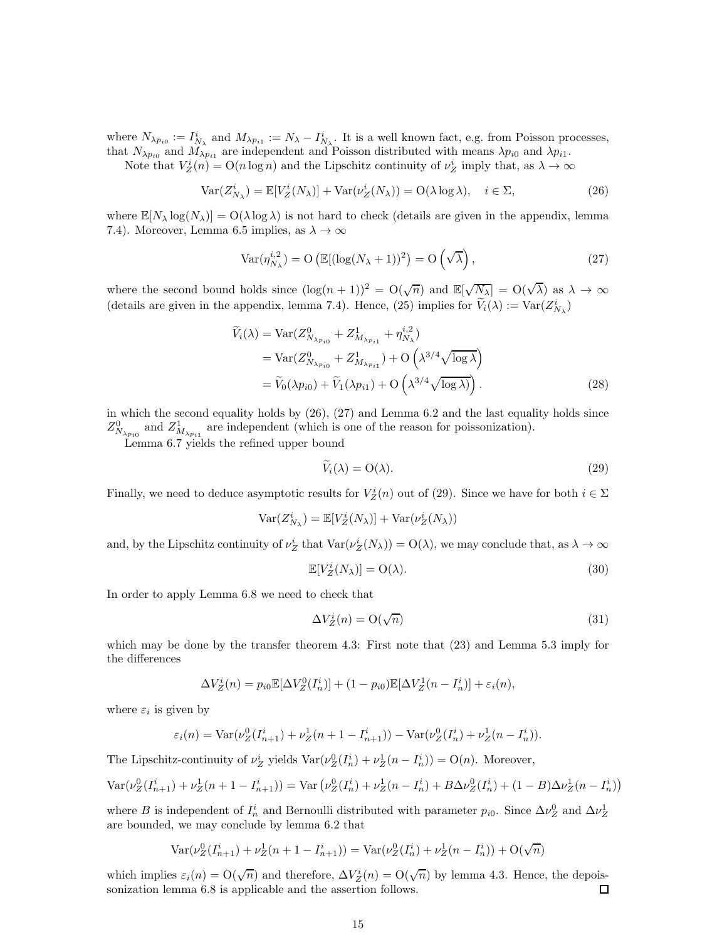where  $N_{\lambda p_{i0}} := I^i_{N_\lambda}$  and  $M_{\lambda p_{i1}} := N_\lambda - I^i_{N_\lambda}$ . It is a well known fact, e.g. from Poisson processes, that  $N_{\lambda p_{i0}}$  and  $M_{\lambda p_{i1}}$  are independent and Poisson distributed with means  $\lambda p_{i0}$  and  $\lambda p_{i1}$ .

Note that  $V_Z^i(n) = O(n \log n)$  and the Lipschitz continuity of  $\nu_Z^i$  imply that, as  $\lambda \to \infty$ 

$$
\text{Var}(Z_{N_{\lambda}}^{i}) = \mathbb{E}[V_{Z}^{i}(N_{\lambda})] + \text{Var}(\nu_{Z}^{i}(N_{\lambda})) = \text{O}(\lambda \log \lambda), \quad i \in \Sigma,
$$
\n(26)

where  $\mathbb{E}[N_{\lambda} \log(N_{\lambda})] = O(\lambda \log \lambda)$  is not hard to check (details are given in the appendix, lemma 7.4). Moreover, Lemma 6.5 implies, as  $\lambda \to \infty$ 

$$
Var(\eta_{N_{\lambda}}^{i,2}) = O\left(\mathbb{E}[(\log(N_{\lambda} + 1))^{2}\right) = O\left(\sqrt{\lambda}\right),\tag{27}
$$

where the second bound holds since  $(\log(n+1))^2 = O(\sqrt{n})$  and  $\mathbb{E}[\sqrt{N_\lambda}] = O(\sqrt{\lambda})$  as  $\lambda \to \infty$ (details are given in the appendix, lemma 7.4). Hence, (25) implies for  $\tilde{V}_i(\lambda) := \text{Var}(Z^i_{N_{\lambda}})$ 

$$
\widetilde{V}_{i}(\lambda) = \text{Var}(Z_{N_{\lambda p_{i0}}}^{0} + Z_{M_{\lambda p_{i1}}}^{1} + \eta_{N_{\lambda}}^{i,2})
$$
\n
$$
= \text{Var}(Z_{N_{\lambda p_{i0}}}^{0} + Z_{M_{\lambda p_{i1}}}^{1}) + \text{O}\left(\lambda^{3/4} \sqrt{\log \lambda}\right)
$$
\n
$$
= \widetilde{V}_{0}(\lambda p_{i0}) + \widetilde{V}_{1}(\lambda p_{i1}) + \text{O}\left(\lambda^{3/4} \sqrt{\log \lambda}\right).
$$
\n(28)

in which the second equality holds by  $(26)$ ,  $(27)$  and Lemma 6.2 and the last equality holds since  $Z_{N_{\lambda p_{i0}}}^0$  and  $Z_{M_{\lambda p_{i1}}}^1$  are independent (which is one of the reason for poissonization).

Lemma 6.7 yields the refined upper bound

$$
\widetilde{V}_i(\lambda) = \mathcal{O}(\lambda). \tag{29}
$$

Finally, we need to deduce asymptotic results for  $V_Z^i(n)$  out of (29). Since we have for both  $i \in \Sigma$ 

$$
Var(Z_{N_{\lambda}}^{i}) = \mathbb{E}[V_{Z}^{i}(N_{\lambda})] + Var(\nu_{Z}^{i}(N_{\lambda}))
$$

and, by the Lipschitz continuity of  $\nu_Z^i$  that  $\text{Var}(\nu_Z^i(N_\lambda)) = \text{O}(\lambda)$ , we may conclude that, as  $\lambda \to \infty$ 

$$
\mathbb{E}[V_Z^i(N_\lambda)] = \mathcal{O}(\lambda). \tag{30}
$$

In order to apply Lemma 6.8 we need to check that

$$
\Delta V_Z^i(n) = \mathcal{O}(\sqrt{n})\tag{31}
$$

which may be done by the transfer theorem 4.3: First note that  $(23)$  and Lemma 5.3 imply for the differences

$$
\Delta V_Z^i(n) = p_{i0} \mathbb{E}[\Delta V_Z^0(I_n^i)] + (1 - p_{i0}) \mathbb{E}[\Delta V_Z^1(n - I_n^i)] + \varepsilon_i(n),
$$

where  $\varepsilon_i$  is given by

$$
\varepsilon_i(n) = \text{Var}(\nu_Z^0(I_{n+1}^i) + \nu_Z^1(n+1-I_{n+1}^i)) - \text{Var}(\nu_Z^0(I_n^i) + \nu_Z^1(n-I_n^i)).
$$

The Lipschitz-continuity of  $\nu_Z^i$  yields  $\text{Var}(\nu_Z^0(I_n^i) + \nu_Z^1(n - I_n^i)) = O(n)$ . Moreover,

$$
\text{Var}(\nu_Z^0(I_{n+1}^i) + \nu_Z^1(n+1 - I_{n+1}^i)) = \text{Var}(\nu_Z^0(I_n^i) + \nu_Z^1(n - I_n^i) + B\Delta\nu_Z^0(I_n^i) + (1 - B)\Delta\nu_Z^1(n - I_n^i))
$$

where B is independent of  $I_n^i$  and Bernoulli distributed with parameter  $p_{i0}$ . Since  $\Delta \nu_Z^0$  and  $\Delta \nu_Z^1$ are bounded, we may conclude by lemma 6.2 that

$$
Var(\nu_Z^0(I_{n+1}^i) + \nu_Z^1(n+1-I_{n+1}^i)) = Var(\nu_Z^0(I_n^i) + \nu_Z^1(n-I_n^i)) + O(\sqrt{n})
$$

which implies  $\varepsilon_i(n) = O(\sqrt{n})$  and therefore,  $\Delta V_Z^i(n) = O(\sqrt{n})$  by lemma 4.3. Hence, the depoissonization lemma 6.8 is applicable and the assertion follows.  $\Box$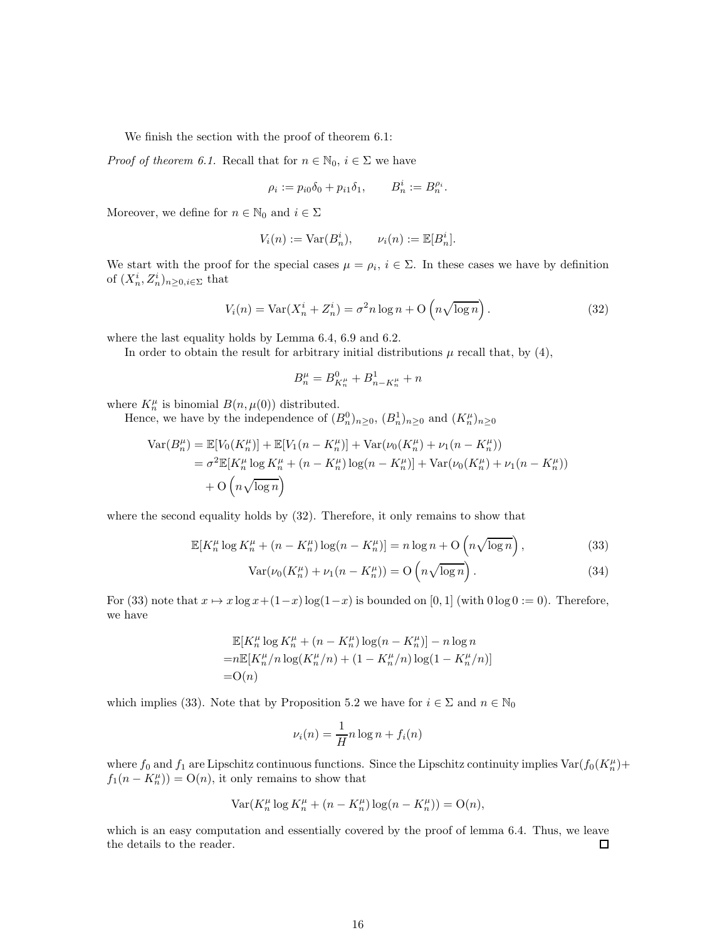We finish the section with the proof of theorem 6.1:

*Proof of theorem 6.1.* Recall that for  $n \in \mathbb{N}_0$ ,  $i \in \Sigma$  we have

$$
\rho_i := p_{i0}\delta_0 + p_{i1}\delta_1, \qquad B_n^i := B_n^{\rho_i}.
$$

Moreover, we define for  $n \in \mathbb{N}_0$  and  $i \in \Sigma$ 

$$
V_i(n) := \text{Var}(B_n^i), \qquad \nu_i(n) := \mathbb{E}[B_n^i].
$$

We start with the proof for the special cases  $\mu = \rho_i$ ,  $i \in \Sigma$ . In these cases we have by definition of  $(X_n^i, Z_n^i)_{n \geq 0, i \in \Sigma}$  that

$$
V_i(n) = \text{Var}(X_n^i + Z_n^i) = \sigma^2 n \log n + O\left(n \sqrt{\log n}\right). \tag{32}
$$

where the last equality holds by Lemma 6.4, 6.9 and 6.2.

In order to obtain the result for arbitrary initial distributions  $\mu$  recall that, by (4),

$$
B_n^{\mu} = B_{K_n^{\mu}}^0 + B_{n-K_n^{\mu}}^1 + n
$$

where  $K_n^{\mu}$  is binomial  $B(n, \mu(0))$  distributed.

Hence, we have by the independence of  $(B_n^0)_{n\geq 0}$ ,  $(B_n^1)_{n\geq 0}$  and  $(K_n^{\mu})_{n\geq 0}$ 

$$
\begin{aligned} \text{Var}(B_n^{\mu}) &= \mathbb{E}[V_0(K_n^{\mu})] + \mathbb{E}[V_1(n - K_n^{\mu})] + \text{Var}(\nu_0(K_n^{\mu}) + \nu_1(n - K_n^{\mu})) \\ &= \sigma^2 \mathbb{E}[K_n^{\mu} \log K_n^{\mu} + (n - K_n^{\mu}) \log(n - K_n^{\mu})] + \text{Var}(\nu_0(K_n^{\mu}) + \nu_1(n - K_n^{\mu})) \\ &+ \text{O}\left(n\sqrt{\log n}\right) \end{aligned}
$$

where the second equality holds by (32). Therefore, it only remains to show that

$$
\mathbb{E}[K_n^{\mu} \log K_n^{\mu} + (n - K_n^{\mu}) \log(n - K_n^{\mu})] = n \log n + \mathcal{O}\left(n \sqrt{\log n}\right),\tag{33}
$$

$$
Var(\nu_0(K_n^{\mu}) + \nu_1(n - K_n^{\mu})) = O\left(n\sqrt{\log n}\right).
$$
\n(34)

For (33) note that  $x \mapsto x \log x + (1-x) \log(1-x)$  is bounded on [0, 1] (with  $0 \log 0 := 0$ ). Therefore, we have

$$
\mathbb{E}[K_n^{\mu} \log K_n^{\mu} + (n - K_n^{\mu}) \log(n - K_n^{\mu})] - n \log n
$$
  
= $n \mathbb{E}[K_n^{\mu}/n \log(K_n^{\mu}/n) + (1 - K_n^{\mu}/n) \log(1 - K_n^{\mu}/n)]$   
=O(n)

which implies (33). Note that by Proposition 5.2 we have for  $i \in \Sigma$  and  $n \in \mathbb{N}_0$ 

$$
\nu_i(n) = \frac{1}{H} n \log n + f_i(n)
$$

where  $f_0$  and  $f_1$  are Lipschitz continuous functions. Since the Lipschitz continuity implies  $\text{Var}(f_0(K_n^{\mu})+$  $f_1(n - K_n^{\mu}) = O(n)$ , it only remains to show that

$$
Var(K_n^{\mu} \log K_n^{\mu} + (n - K_n^{\mu}) \log(n - K_n^{\mu})) = O(n),
$$

which is an easy computation and essentially covered by the proof of lemma 6.4. Thus, we leave the details to the reader. 口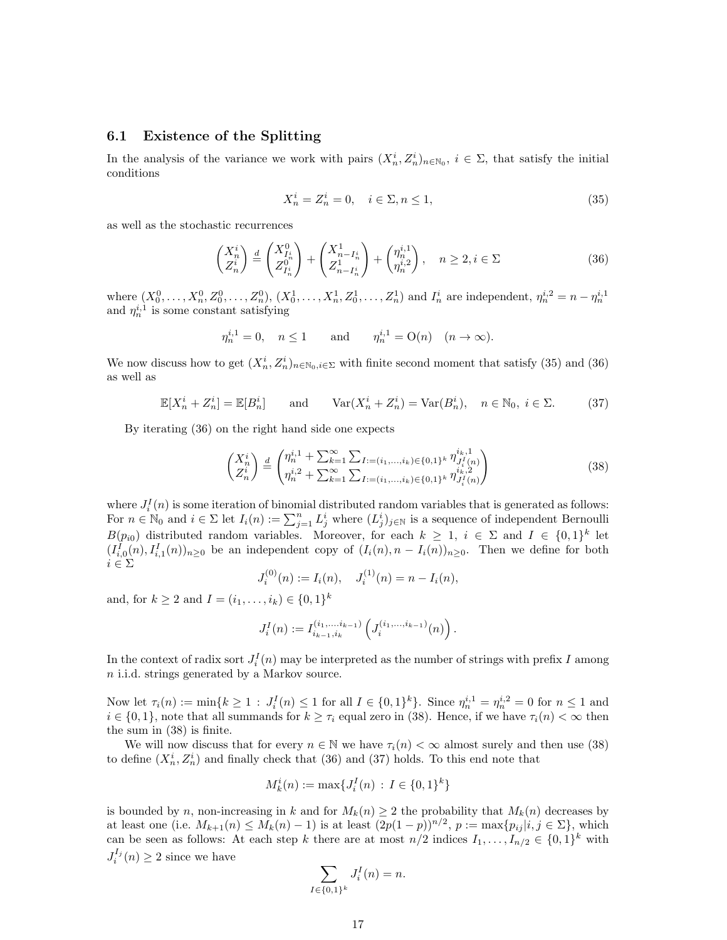#### 6.1 Existence of the Splitting

In the analysis of the variance we work with pairs  $(X_n^i, Z_n^i)_{n \in \mathbb{N}_0}$ ,  $i \in \Sigma$ , that satisfy the initial conditions

$$
X_n^i = Z_n^i = 0, \quad i \in \Sigma, n \le 1,
$$
\n
$$
(35)
$$

as well as the stochastic recurrences

$$
\begin{pmatrix} X_n^i \\ Z_n^i \end{pmatrix} \stackrel{d}{=} \begin{pmatrix} X_{I_n^i}^0 \\ Z_{I_n^i}^0 \end{pmatrix} + \begin{pmatrix} X_{n-I_n^i}^1 \\ Z_{n-I_n^i}^1 \end{pmatrix} + \begin{pmatrix} \eta_n^{i,1} \\ \eta_n^{i,2} \end{pmatrix}, \quad n \ge 2, i \in \Sigma
$$
 (36)

where  $(X_0^0, \ldots, X_n^0, Z_0^0, \ldots, Z_n^0), (X_0^1, \ldots, X_n^1, Z_0^1, \ldots, Z_n^1)$  and  $I_n^i$  are independent,  $\eta_n^{i,2} = n - \eta_n^{i,1}$ <br>and  $\eta_n^{i,1}$  is some constant satisfying

$$
\eta_n^{i,1} = 0
$$
,  $n \le 1$  and  $\eta_n^{i,1} = O(n)$   $(n \to \infty)$ .

We now discuss how to get  $(X_n^i, Z_n^i)_{n \in \mathbb{N}_0, i \in \Sigma}$  with finite second moment that satisfy (35) and (36) as well as

$$
\mathbb{E}[X_n^i + Z_n^i] = \mathbb{E}[B_n^i] \quad \text{and} \quad \text{Var}(X_n^i + Z_n^i) = \text{Var}(B_n^i), \quad n \in \mathbb{N}_0, \ i \in \Sigma. \tag{37}
$$

By iterating (36) on the right hand side one expects

$$
\begin{pmatrix} X_n^i \\ Z_n^i \end{pmatrix} \stackrel{d}{=} \begin{pmatrix} \eta_n^{i,1} + \sum_{k=1}^{\infty} \sum_{l:=(i_1,\dots,i_k)\in\{0,1\}^k} \eta_{J_i^I(n)}^{i_k,1} \\ \eta_n^{i,2} + \sum_{k=1}^{\infty} \sum_{l:=(i_1,\dots,i_k)\in\{0,1\}^k} \eta_{J_i^I(n)}^{i_k,2} \end{pmatrix} \tag{38}
$$

where  $J_i^I(n)$  is some iteration of binomial distributed random variables that is generated as follows: For  $n \in \mathbb{N}_0$  and  $i \in \Sigma$  let  $I_i(n) := \sum_{j=1}^n L_j^i$  where  $(L_j^i)_{j \in \mathbb{N}}$  is a sequence of independent Bernoulli  $B(p_{i0})$  distributed random variables. Moreover, for each  $k \geq 1$ ,  $i \in \Sigma$  and  $I \in \{0,1\}^k$  let  $(I_{i,0}^I(n), I_{i,1}^I(n))_{n\geq 0}$  be an independent copy of  $(I_i(n), n - I_i(n))_{n\geq 0}$ . Then we define for both  $i \in \Sigma$ 

$$
J_i^{(0)}(n) := I_i(n), \quad J_i^{(1)}(n) = n - I_i(n),
$$

and, for  $k \ge 2$  and  $I = (i_1, ..., i_k) \in \{0, 1\}^k$ 

$$
J_i^I(n) := I_{i_{k-1},i_k}^{(i_1,\ldots,i_{k-1})} \left( J_i^{(i_1,\ldots,i_{k-1})}(n) \right).
$$

In the context of radix sort  $J_i^I(n)$  may be interpreted as the number of strings with prefix I among n i.i.d. strings generated by a Markov source.

Now let  $\tau_i(n) := \min\{k \geq 1 : J_i^I(n) \leq 1 \text{ for all } I \in \{0,1\}^k\}$ . Since  $\eta_n^{i,1} = \eta_n^{i,2} = 0$  for  $n \leq 1$  and  $i \in \{0,1\}$ , note that all summands for  $k \geq \tau_i$  equal zero in (38). Hence, if we have  $\tau_i(n) < \infty$  then the sum in (38) is finite.

We will now discuss that for every  $n \in \mathbb{N}$  we have  $\tau_i(n) < \infty$  almost surely and then use (38) to define  $(X_n^i, Z_n^i)$  and finally check that (36) and (37) holds. To this end note that

$$
M_k^i(n) := \max\{J_i^I(n) \, : \, I \in \{0,1\}^k\}
$$

is bounded by n, non-increasing in k and for  $M_k(n) \geq 2$  the probability that  $M_k(n)$  decreases by at least one (i.e.  $M_{k+1}(n) \leq M_k(n) - 1$ ) is at least  $(2p(1-p))^{n/2}$ ,  $p := \max\{p_{ij} | i, j \in \Sigma\}$ , which can be seen as follows: At each step k there are at most  $n/2$  indices  $I_1, \ldots, I_{n/2} \in \{0,1\}^k$  with  $J_i^{I_j}(n) \geq 2$  since we have

$$
\sum_{I \in \{0,1\}^k} J_i^I(n) = n.
$$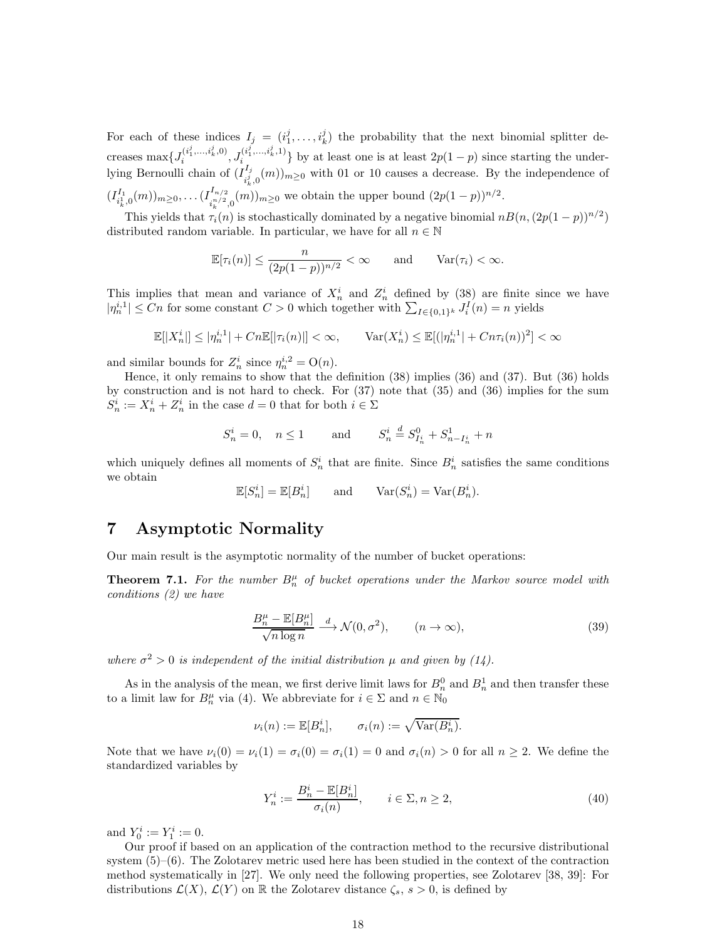For each of these indices  $I_j = (i_1^j, \ldots, i_k^j)$  the probability that the next binomial splitter decreases  $\max\{J_i^{(i_1^j,...,i_k^j,0)}\}$  $J_{i}^{(i_{1}^{j},...,i_{k}^{j},0)}, J_{i}^{(i_{1}^{j},...,i_{k}^{j},1)}$  $\{e_1^{(i_1,...,i_k)}\}$  by at least one is at least  $2p(1-p)$  since starting the underlying Bernoulli chain of  $(I_{i,j}^{I_j})$  $\sum_{i,j=0}^{j,j}(m)_{m\geq 0}$  with 01 or 10 causes a decrease. By the independence of k  $(I^{I_{1}}_{i_{k}^{1},0}(m))_{m\geq0},\ldots(I^{I_{n/2}}_{i_{k}^{n/2}})$  $\sum_{i=1}^{n} (m)^2 (n^2) m \ge 0$  we obtain the upper bound  $(2p(1-p))^{n/2}$ .

This yields that  $\tau_i(n)$  is stochastically dominated by a negative binomial  $nB(n,(2p(1-p))^{n/2})$ distributed random variable. In particular, we have for all  $n \in \mathbb{N}$ 

$$
\mathbb{E}[\tau_i(n)] \le \frac{n}{(2p(1-p))^{n/2}} < \infty \quad \text{and} \quad \text{Var}(\tau_i) < \infty.
$$

This implies that mean and variance of  $X_n^i$  and  $Z_n^i$  defined by (38) are finite since we have  $|\eta_n^{i,1}| \leq Cn$  for some constant  $C > 0$  which together with  $\sum_{I \in \{0,1\}^k} J_i^I(n) = n$  yields

$$
\mathbb{E}[|X_n^i|] \le |\eta_n^{i,1}| + Cn \mathbb{E}[|\tau_i(n)|] < \infty, \qquad \text{Var}(X_n^i) \le \mathbb{E}[(|\eta_n^{i,1}| + Cn\tau_i(n))^2] < \infty
$$

and similar bounds for  $Z_n^i$  since  $\eta_n^{i,2} = O(n)$ .

Hence, it only remains to show that the definition (38) implies (36) and (37). But (36) holds by construction and is not hard to check. For (37) note that (35) and (36) implies for the sum  $S_n^i := X_n^i + Z_n^i$  in the case  $d = 0$  that for both  $i \in \Sigma$ 

$$
S_n^i = 0
$$
,  $n \le 1$  and  $S_n^i \stackrel{d}{=} S_{I_n^i}^0 + S_{n-I_n^i}^1 + n$ 

which uniquely defines all moments of  $S_n^i$  that are finite. Since  $B_n^i$  satisfies the same conditions we obtain

 $\mathbb{E}[S_n^i] = \mathbb{E}[B_n^i]$  and  $\text{Var}(S_n^i) = \text{Var}(B_n^i)$ .

### 7 Asymptotic Normality

Our main result is the asymptotic normality of the number of bucket operations:

**Theorem 7.1.** For the number  $B_n^{\mu}$  of bucket operations under the Markov source model with *conditions (2) we have*

$$
\frac{B_n^{\mu} - \mathbb{E}[B_n^{\mu}]}{\sqrt{n \log n}} \xrightarrow{d} \mathcal{N}(0, \sigma^2), \qquad (n \to \infty),
$$
\n(39)

where  $\sigma^2 > 0$  is independent of the initial distribution  $\mu$  and given by (14).

As in the analysis of the mean, we first derive limit laws for  $B_n^0$  and  $B_n^1$  and then transfer these to a limit law for  $B_n^{\mu}$  via (4). We abbreviate for  $i \in \Sigma$  and  $n \in \mathbb{N}_0$ 

 $\nu_i(n) := \mathbb{E}[B_n^i], \quad \sigma_i(n) := \sqrt{\text{Var}(B_n^i)}.$ 

Note that we have  $\nu_i(0) = \nu_i(1) = \sigma_i(0) = \sigma_i(1) = 0$  and  $\sigma_i(n) > 0$  for all  $n \geq 2$ . We define the standardized variables by

$$
Y_n^i := \frac{B_n^i - \mathbb{E}[B_n^i]}{\sigma_i(n)}, \qquad i \in \Sigma, n \ge 2,
$$
\n
$$
(40)
$$

and  $Y_0^i := Y_1^i := 0.$ 

Our proof if based on an application of the contraction method to the recursive distributional system  $(5)-(6)$ . The Zolotarev metric used here has been studied in the context of the contraction method systematically in [27]. We only need the following properties, see Zolotarev [38, 39]: For distributions  $\mathcal{L}(X)$ ,  $\mathcal{L}(Y)$  on R the Zolotarev distance  $\zeta_s$ ,  $s > 0$ , is defined by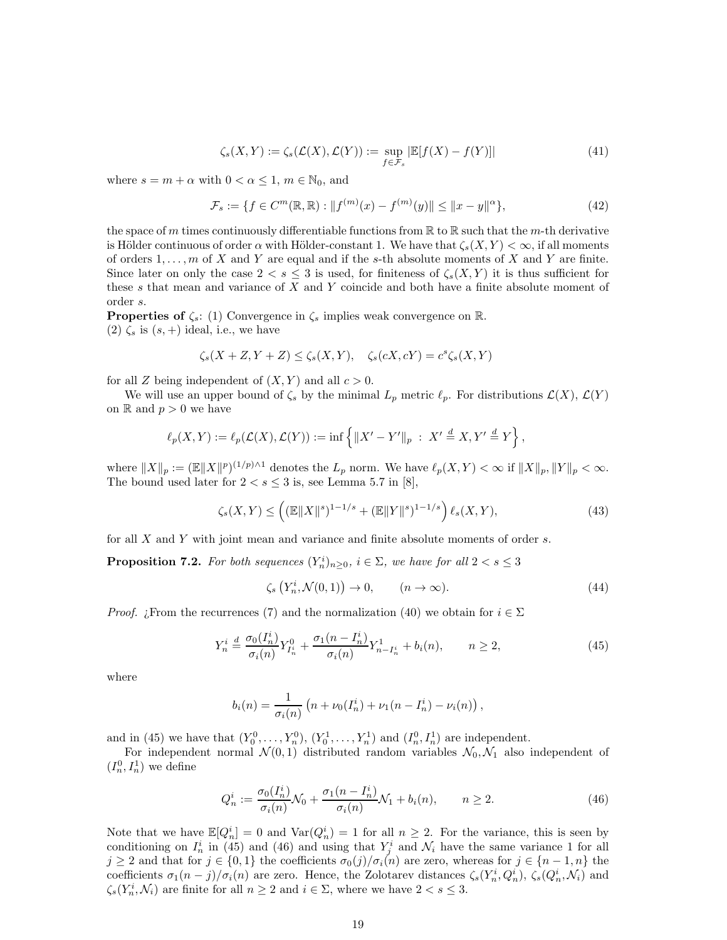$$
\zeta_s(X,Y) := \zeta_s(\mathcal{L}(X), \mathcal{L}(Y)) := \sup_{f \in \mathcal{F}_s} |\mathbb{E}[f(X) - f(Y)]| \tag{41}
$$

where  $s = m + \alpha$  with  $0 < \alpha \leq 1$ ,  $m \in \mathbb{N}_0$ , and

$$
\mathcal{F}_s := \{ f \in C^m(\mathbb{R}, \mathbb{R}) : \| f^{(m)}(x) - f^{(m)}(y) \| \le \|x - y\|^\alpha \},\tag{42}
$$

the space of m times continuously differentiable functions from  $\mathbb R$  to  $\mathbb R$  such that the m-th derivative is Hölder continuous of order  $\alpha$  with Hölder-constant 1. We have that  $\zeta_s(X,Y) < \infty$ , if all moments of orders  $1, \ldots, m$  of X and Y are equal and if the s-th absolute moments of X and Y are finite. Since later on only the case  $2 < s \leq 3$  is used, for finiteness of  $\zeta_s(X, Y)$  it is thus sufficient for these  $s$  that mean and variance of  $X$  and  $Y$  coincide and both have a finite absolute moment of order s.

**Properties of**  $\zeta_s$ : (1) Convergence in  $\zeta_s$  implies weak convergence on  $\mathbb{R}$ . (2)  $\zeta_s$  is  $(s,+)$  ideal, i.e., we have

$$
\zeta_s(X+Z,Y+Z) \le \zeta_s(X,Y), \quad \zeta_s(cX,cY) = c^s \zeta_s(X,Y)
$$

for all Z being independent of  $(X, Y)$  and all  $c > 0$ .

We will use an upper bound of  $\zeta_s$  by the minimal  $L_p$  metric  $\ell_p$ . For distributions  $\mathcal{L}(X)$ ,  $\mathcal{L}(Y)$ on R and  $p > 0$  we have

$$
\ell_p(X,Y) := \ell_p(\mathcal{L}(X),\mathcal{L}(Y)) := \inf \left\{ \|X' - Y'\|_p \ : \ X' \stackrel{d}{=} X, Y' \stackrel{d}{=} Y \right\},\,
$$

where  $||X||_p := (\mathbb{E}||X||^p)^{(1/p)\wedge 1}$  denotes the  $L_p$  norm. We have  $\ell_p(X, Y) < \infty$  if  $||X||_p, ||Y||_p < \infty$ . The bound used later for  $2 < s \leq 3$  is, see Lemma 5.7 in [8],

$$
\zeta_s(X,Y) \le \left( (\mathbb{E} \|X\|^s)^{1-1/s} + (\mathbb{E} \|Y\|^s)^{1-1/s} \right) \ell_s(X,Y),\tag{43}
$$

for all X and Y with joint mean and variance and finite absolute moments of order s.

**Proposition 7.2.** For both sequences  $(Y_n^i)_{n \geq 0}$ ,  $i \in \Sigma$ , we have for all  $2 < s \leq 3$ 

$$
\zeta_s\left(Y_n^i, \mathcal{N}(0, 1)\right) \to 0, \qquad (n \to \infty). \tag{44}
$$

*Proof.* ¿From the recurrences (7) and the normalization (40) we obtain for  $i \in \Sigma$ 

$$
Y_n^i \stackrel{d}{=} \frac{\sigma_0(I_n^i)}{\sigma_i(n)} Y_{I_n^i}^0 + \frac{\sigma_1(n - I_n^i)}{\sigma_i(n)} Y_{n - I_n^i}^1 + b_i(n), \qquad n \ge 2,
$$
\n<sup>(45)</sup>

where

$$
b_i(n) = \frac{1}{\sigma_i(n)} (n + \nu_0(I_n^i) + \nu_1(n - I_n^i) - \nu_i(n)),
$$

and in (45) we have that  $(Y_0^0, ..., Y_n^0), (Y_0^1, ..., Y_n^1)$  and  $(I_n^0, I_n^1)$  are independent.

For independent normal  $\mathcal{N}(0,1)$  distributed random variables  $\mathcal{N}_0, \mathcal{N}_1$  also independent of  $(I_n^0, I_n^1)$  we define

$$
Q_n^i := \frac{\sigma_0(I_n^i)}{\sigma_i(n)} \mathcal{N}_0 + \frac{\sigma_1(n - I_n^i)}{\sigma_i(n)} \mathcal{N}_1 + b_i(n), \qquad n \ge 2.
$$
 (46)

Note that we have  $\mathbb{E}[Q_n^i] = 0$  and  $\text{Var}(Q_n^i) = 1$  for all  $n \geq 2$ . For the variance, this is seen by conditioning on  $I_n^i$  in (45) and (46) and using that  $Y_j^i$  and  $\mathcal{N}_i$  have the same variance 1 for all  $j \geq 2$  and that for  $j \in \{0,1\}$  the coefficients  $\sigma_0(j)/\sigma_i(n)$  are zero, whereas for  $j \in \{n-1,n\}$  the coefficients  $\sigma_1(n-j)/\sigma_i(n)$  are zero. Hence, the Zolotarev distances  $\zeta_s(Y_n^i, Q_n^i)$ ,  $\zeta_s(Q_n^i, \mathcal{N}_i)$  and  $\zeta_s(Y_n^i, \mathcal{N}_i)$  are finite for all  $n \geq 2$  and  $i \in \Sigma$ , where we have  $2 < s \leq 3$ .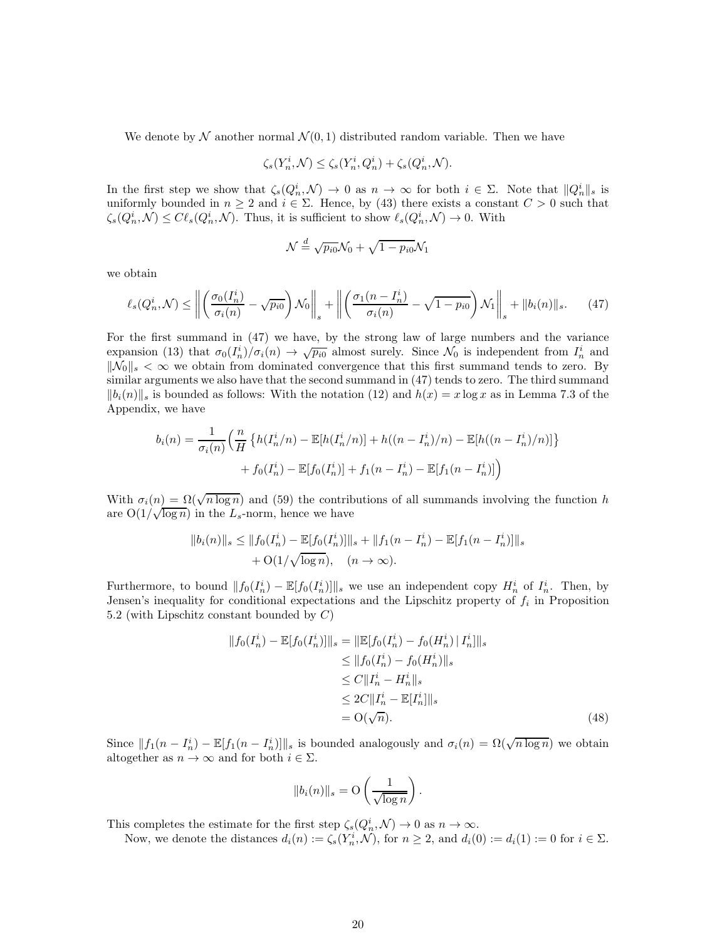We denote by N another normal  $\mathcal{N}(0,1)$  distributed random variable. Then we have

$$
\zeta_s(Y_n^i, \mathcal{N}) \le \zeta_s(Y_n^i, Q_n^i) + \zeta_s(Q_n^i, \mathcal{N}).
$$

In the first step we show that  $\zeta_s(Q_n^i, \mathcal{N}) \to 0$  as  $n \to \infty$  for both  $i \in \Sigma$ . Note that  $||Q_n^i||_s$  is uniformly bounded in  $n \geq 2$  and  $i \in \Sigma$ . Hence, by (43) there exists a constant  $C > 0$  such that  $\zeta_s(Q_n^i, \mathcal{N}) \leq C \ell_s(Q_n^i, \mathcal{N})$ . Thus, it is sufficient to show  $\ell_s(Q_n^i, \mathcal{N}) \to 0$ . With

$$
\mathcal{N} \stackrel{d}{=} \sqrt{p_{i0}}\mathcal{N}_0 + \sqrt{1 - p_{i0}}\mathcal{N}_1
$$

we obtain

$$
\ell_s(Q_n^i, \mathcal{N}) \le \left\| \left( \frac{\sigma_0(I_n^i)}{\sigma_i(n)} - \sqrt{p_{i0}} \right) \mathcal{N}_0 \right\|_s + \left\| \left( \frac{\sigma_1(n - I_n^i)}{\sigma_i(n)} - \sqrt{1 - p_{i0}} \right) \mathcal{N}_1 \right\|_s + \|b_i(n)\|_s. \tag{47}
$$

For the first summand in (47) we have, by the strong law of large numbers and the variance expansion (13) that  $\sigma_0(I_n^i)/\sigma_i(n) \to \sqrt{p_{i0}}$  almost surely. Since  $\mathcal{N}_0$  is independent from  $I_n^i$  and  $\|\mathcal{N}_0\|_{s} < \infty$  we obtain from dominated convergence that this first summand tends to zero. By similar arguments we also have that the second summand in (47) tends to zero. The third summand  $||b_i(n)||_s$  is bounded as follows: With the notation (12) and  $h(x) = x \log x$  as in Lemma 7.3 of the Appendix, we have

$$
b_i(n) = \frac{1}{\sigma_i(n)} \Big( \frac{n}{H} \left\{ h(I_n^i/n) - \mathbb{E}[h(I_n^i/n)] + h((n - I_n^i)/n) - \mathbb{E}[h((n - I_n^i)/n)] \right\} + f_0(I_n^i) - \mathbb{E}[f_0(I_n^i)] + f_1(n - I_n^i) - \mathbb{E}[f_1(n - I_n^i)] \Big)
$$

With  $\sigma_i(n) = \Omega(\sqrt{n \log n})$  and (59) the contributions of all summands involving the function h are  $O(1/\sqrt{\log n})$  in the  $L_s$ -norm, hence we have

$$
||b_i(n)||_s \le ||f_0(I_n^i) - \mathbb{E}[f_0(I_n^i)]||_s + ||f_1(n - I_n^i) - \mathbb{E}[f_1(n - I_n^i)]||_s
$$
  
+ O(1/\sqrt{\log n}), (n \to \infty).

Furthermore, to bound  $||f_0(I_n^i) - \mathbb{E}[f_0(I_n^i)]||_s$  we use an independent copy  $H_n^i$  of  $I_n^i$ . Then, by Jensen's inequality for conditional expectations and the Lipschitz property of  $f_i$  in Proposition 5.2 (with Lipschitz constant bounded by  $C$ )

$$
||f_0(I_n^i) - \mathbb{E}[f_0(I_n^i)]||_s = ||\mathbb{E}[f_0(I_n^i) - f_0(H_n^i) | I_n^i]||_s
$$
  
\n
$$
\leq ||f_0(I_n^i) - f_0(H_n^i)||_s
$$
  
\n
$$
\leq C||I_n^i - H_n^i||_s
$$
  
\n
$$
\leq 2C||I_n^i - \mathbb{E}[I_n^i]||_s
$$
  
\n
$$
= O(\sqrt{n}).
$$
\n(48)

Since  $||f_1(n - I_n^i) - \mathbb{E}[f_1(n - I_n^i)]||_s$  is bounded analogously and  $\sigma_i(n) = \Omega(\sqrt{n \log n})$  we obtain altogether as  $n \to \infty$  and for both  $i \in \Sigma$ .

$$
||b_i(n)||_s = \mathcal{O}\left(\frac{1}{\sqrt{\log n}}\right).
$$

This completes the estimate for the first step  $\zeta_s(Q_n^i, \mathcal{N}) \to 0$  as  $n \to \infty$ .

Now, we denote the distances  $d_i(n) := \zeta_s(Y_n^i, \mathcal{N})$ , for  $n \geq 2$ , and  $d_i(0) := d_i(1) := 0$  for  $i \in \Sigma$ .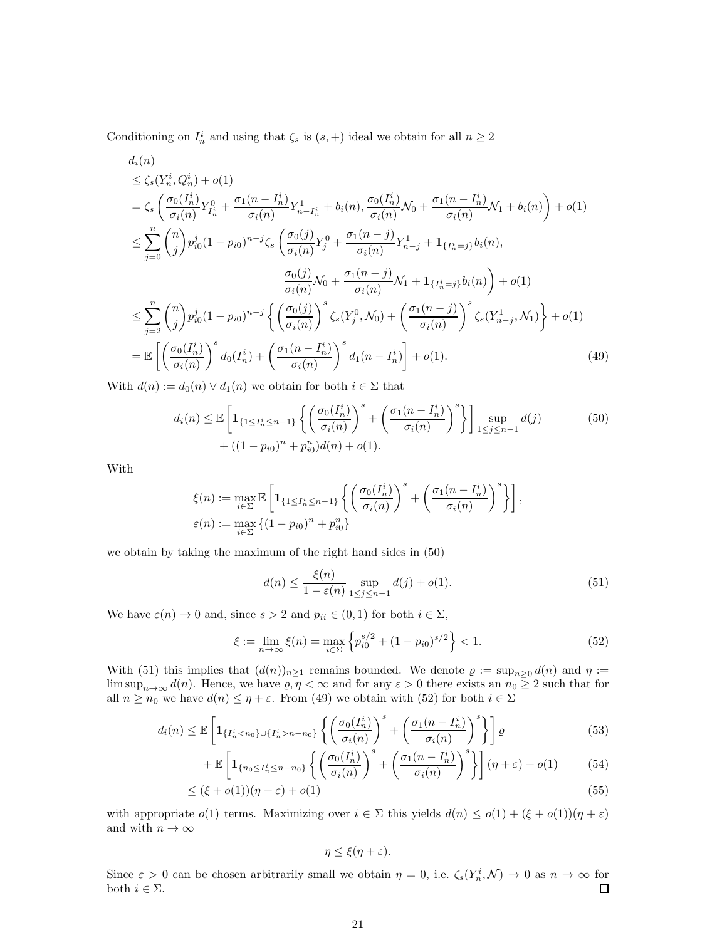Conditioning on  $I_n^i$  and using that  $\zeta_s$  is  $(s, +)$  ideal we obtain for all  $n \geq 2$ 

$$
d_{i}(n)
$$
\n
$$
\leq \zeta_{s}(Y_{n}^{i}, Q_{n}^{i}) + o(1)
$$
\n
$$
= \zeta_{s} \left( \frac{\sigma_{0}(I_{n}^{i})}{\sigma_{i}(n)} Y_{I_{n}^{i}}^{0} + \frac{\sigma_{1}(n - I_{n}^{i})}{\sigma_{i}(n)} Y_{n - I_{n}^{i}}^{1} + b_{i}(n), \frac{\sigma_{0}(I_{n}^{i})}{\sigma_{i}(n)} \mathcal{N}_{0} + \frac{\sigma_{1}(n - I_{n}^{i})}{\sigma_{i}(n)} \mathcal{N}_{1} + b_{i}(n) \right) + o(1)
$$
\n
$$
\leq \sum_{j=0}^{n} {n \choose j} p_{i0}^{j} (1 - p_{i0})^{n-j} \zeta_{s} \left( \frac{\sigma_{0}(j)}{\sigma_{i}(n)} Y_{j}^{0} + \frac{\sigma_{1}(n - j)}{\sigma_{i}(n)} Y_{n-j}^{1} + 1_{\{I_{n}^{i} = j\}} b_{i}(n), \frac{\sigma_{0}(j)}{\sigma_{i}(n)} \mathcal{N}_{0} + \frac{\sigma_{1}(n - j)}{\sigma_{i}(n)} \mathcal{N}_{1} + 1_{\{I_{n}^{i} = j\}} b_{i}(n) \right) + o(1)
$$
\n
$$
\leq \sum_{j=2}^{n} {n \choose j} p_{i0}^{j} (1 - p_{i0})^{n-j} \left\{ \left( \frac{\sigma_{0}(j)}{\sigma_{i}(n)} \right)^{s} \zeta_{s}(Y_{j}^{0}, \mathcal{N}_{0}) + \left( \frac{\sigma_{1}(n - j)}{\sigma_{i}(n)} \right)^{s} \zeta_{s}(Y_{n-j}^{1}, \mathcal{N}_{1}) \right\} + o(1)
$$
\n
$$
= \mathbb{E} \left[ \left( \frac{\sigma_{0}(I_{n}^{i})}{\sigma_{i}(n)} \right)^{s} d_{0}(I_{n}^{i}) + \left( \frac{\sigma_{1}(n - I_{n}^{i})}{\sigma_{i}(n)} \right)^{s} d_{1}(n - I_{n}^{i}) \right] + o(1).
$$
\n(49)

With  $d(n) := d_0(n) \vee d_1(n)$  we obtain for both  $i \in \Sigma$  that

$$
d_i(n) \leq \mathbb{E}\left[\mathbf{1}_{\{1 \leq I_n^i \leq n-1\}}\left\{\left(\frac{\sigma_0(I_n^i)}{\sigma_i(n)}\right)^s + \left(\frac{\sigma_1(n - I_n^i)}{\sigma_i(n)}\right)^s\right\}\right] \sup_{1 \leq j \leq n-1} d(j) \tag{50}
$$
  
+  $((1 - p_{i0})^n + p_{i0}^n)d(n) + o(1).$ 

With

$$
\xi(n) := \max_{i \in \Sigma} \mathbb{E} \left[ \mathbf{1}_{\{1 \leq I_n^i \leq n-1\}} \left\{ \left( \frac{\sigma_0(I_n^i)}{\sigma_i(n)} \right)^s + \left( \frac{\sigma_1(n - I_n^i)}{\sigma_i(n)} \right)^s \right\} \right],
$$
  

$$
\varepsilon(n) := \max_{i \in \Sigma} \left\{ (1 - p_{i0})^n + p_{i0}^n \right\}
$$

we obtain by taking the maximum of the right hand sides in (50)

$$
d(n) \le \frac{\xi(n)}{1 - \varepsilon(n)} \sup_{1 \le j \le n-1} d(j) + o(1).
$$
 (51)

We have  $\varepsilon(n) \to 0$  and, since  $s > 2$  and  $p_{ii} \in (0,1)$  for both  $i \in \Sigma$ ,

$$
\xi := \lim_{n \to \infty} \xi(n) = \max_{i \in \Sigma} \left\{ p_{i0}^{s/2} + (1 - p_{i0})^{s/2} \right\} < 1. \tag{52}
$$

With (51) this implies that  $(d(n))_{n\geq 1}$  remains bounded. We denote  $\varrho := \sup_{n\geq 0} d(n)$  and  $\eta :=$  $\limsup_{n\to\infty} d(n)$ . Hence, we have  $\varrho, \eta < \infty$  and for any  $\varepsilon > 0$  there exists an  $n_0 \geq 2$  such that for all  $n \geq n_0$  we have  $d(n) \leq \eta + \varepsilon$ . From (49) we obtain with (52) for both  $i \in \Sigma$ 

$$
d_i(n) \le \mathbb{E}\left[\mathbf{1}_{\{I_n^i < n_0\} \cup \{I_n^i > n - n_0\}} \left\{ \left(\frac{\sigma_0(I_n^i)}{\sigma_i(n)}\right)^s + \left(\frac{\sigma_1(n - I_n^i)}{\sigma_i(n)}\right)^s \right\} \right] \varrho \tag{53}
$$

$$
+\mathbb{E}\left[\mathbf{1}_{\{n_0\leq I_n^i\leq n-n_0\}}\left\{\left(\frac{\sigma_0(I_n^i)}{\sigma_i(n)}\right)^s+\left(\frac{\sigma_1(n-I_n^i)}{\sigma_i(n)}\right)^s\right\}\right](\eta+\varepsilon)+o(1) \tag{54}
$$

$$
\leq (\xi + o(1))(\eta + \varepsilon) + o(1) \tag{55}
$$

with appropriate  $o(1)$  terms. Maximizing over  $i \in \Sigma$  this yields  $d(n) \leq o(1) + (\xi + o(1))(\eta + \varepsilon)$ and with  $n \to \infty$ 

$$
\eta \leq \xi(\eta + \varepsilon).
$$

Since  $\varepsilon > 0$  can be chosen arbitrarily small we obtain  $\eta = 0$ , i.e.  $\zeta_s(Y_n^i, \mathcal{N}) \to 0$  as  $n \to \infty$  for both  $i \in \Sigma$ .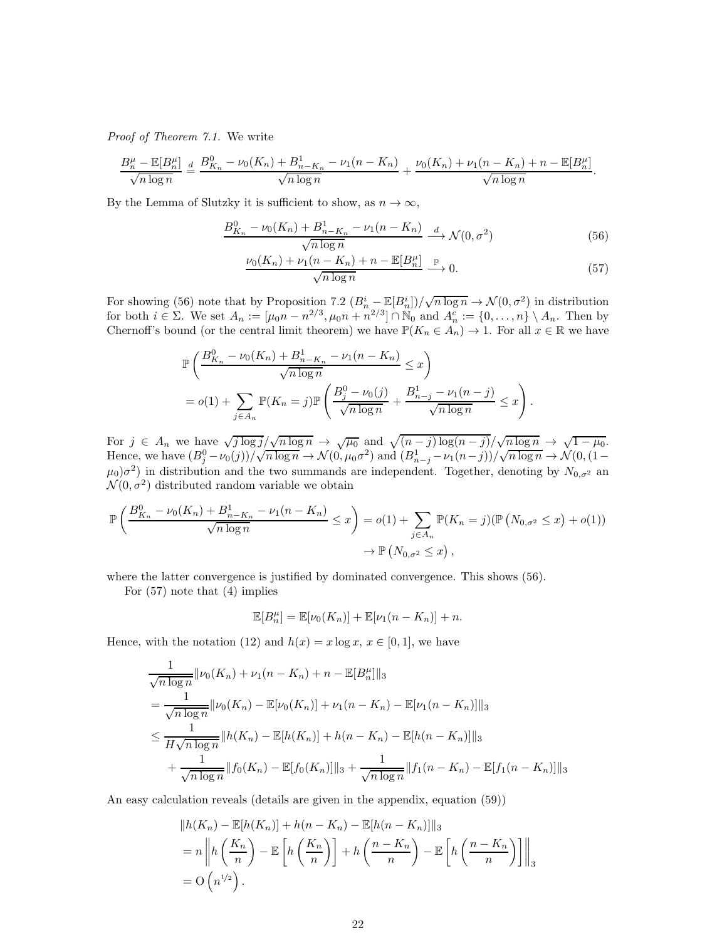*Proof of Theorem 7.1.* We write

$$
\frac{B_n^{\mu} - \mathbb{E}[B_n^{\mu}]}{\sqrt{n \log n}} \stackrel{d}{=} \frac{B_{K_n}^0 - \nu_0(K_n) + B_{n-K_n}^1 - \nu_1(n - K_n)}{\sqrt{n \log n}} + \frac{\nu_0(K_n) + \nu_1(n - K_n) + n - \mathbb{E}[B_n^{\mu}]}{\sqrt{n \log n}}.
$$

By the Lemma of Slutzky it is sufficient to show, as  $n \to \infty$ ,

$$
\frac{B_{K_n}^0 - \nu_0(K_n) + B_{n-K_n}^1 - \nu_1(n - K_n)}{\sqrt{n \log n}} \xrightarrow{d} \mathcal{N}(0, \sigma^2)
$$
\n(56)

$$
\frac{\nu_0(K_n) + \nu_1(n - K_n) + n - \mathbb{E}[B_n^{\mu}]}{\sqrt{n \log n}} \xrightarrow{\mathbb{P}} 0. \tag{57}
$$

For showing (56) note that by Proposition 7.2  $(B_n^i - \mathbb{E}[B_n^i]) / \sqrt{n \log n} \to \mathcal{N}(0, \sigma^2)$  in distribution for both  $i \in \Sigma$ . We set  $A_n := [\mu_0 n - n^{2/3}, \mu_0 n + n^{2/3}] \cap \mathbb{N}_0$  and  $A_n^c := \{0, ..., n\} \setminus A_n$ . Then by Chernoff's bound (or the central limit theorem) we have  $\mathbb{P}(K_n \in A_n) \to 1$ . For all  $x \in \mathbb{R}$  we have

$$
\mathbb{P}\left(\frac{B_{K_n}^0 - \nu_0(K_n) + B_{n-K_n}^1 - \nu_1(n-K_n)}{\sqrt{n \log n}} \le x\right)
$$
  
=  $o(1) + \sum_{j \in A_n} \mathbb{P}(K_n = j) \mathbb{P}\left(\frac{B_j^0 - \nu_0(j)}{\sqrt{n \log n}} + \frac{B_{n-j}^1 - \nu_1(n-j)}{\sqrt{n \log n}} \le x\right).$ 

For  $j \in A_n$  we have  $\sqrt{j \log j} / \sqrt{n \log n} \rightarrow \sqrt{\mu_0}$  and  $\sqrt{(n-j) \log(n-j)} / \sqrt{n \log n} \rightarrow \sqrt{1-\mu_0}$ . Hence, we have  $(B_j^0 - \nu_0(j))/\sqrt{n \log n} \to \mathcal{N}(0, \mu_0 \sigma^2)$  and  $(B_{n-j}^1 - \nu_1(n-j))/\sqrt{n \log n} \to \mathcal{N}(0, (1-\mu_0)\sigma^2)$  $(\mu_0)\sigma^2$  in distribution and the two summands are independent. Together, denoting by  $N_{0,\sigma^2}$  and  $\mathcal{N}(0, \sigma^2)$  distributed random variable we obtain

$$
\mathbb{P}\left(\frac{B_{K_n}^0 - \nu_0(K_n) + B_{n-K_n}^1 - \nu_1(n-K_n)}{\sqrt{n \log n}} \le x\right) = o(1) + \sum_{j \in A_n} \mathbb{P}(K_n = j)(\mathbb{P}\left(N_{0,\sigma^2} \le x\right) + o(1))
$$
  
\$\to \mathbb{P}\left(N\_{0,\sigma^2} \le x\right),\$

where the latter convergence is justified by dominated convergence. This shows (56).

For (57) note that (4) implies

$$
\mathbb{E}[B_n^{\mu}] = \mathbb{E}[\nu_0(K_n)] + \mathbb{E}[\nu_1(n - K_n)] + n.
$$

Hence, with the notation (12) and  $h(x) = x \log x$ ,  $x \in [0, 1]$ , we have

$$
\frac{1}{\sqrt{n \log n}} \| \nu_0(K_n) + \nu_1(n - K_n) + n - \mathbb{E}[B_n^{\mu}] \|_3
$$
\n
$$
= \frac{1}{\sqrt{n \log n}} \| \nu_0(K_n) - \mathbb{E}[\nu_0(K_n)] + \nu_1(n - K_n) - \mathbb{E}[\nu_1(n - K_n)] \|_3
$$
\n
$$
\leq \frac{1}{H \sqrt{n \log n}} \| h(K_n) - \mathbb{E}[h(K_n)] + h(n - K_n) - \mathbb{E}[h(n - K_n)] \|_3
$$
\n
$$
+ \frac{1}{\sqrt{n \log n}} \| f_0(K_n) - \mathbb{E}[f_0(K_n)] \|_3 + \frac{1}{\sqrt{n \log n}} \| f_1(n - K_n) - \mathbb{E}[f_1(n - K_n)] \|_3
$$

An easy calculation reveals (details are given in the appendix, equation (59))

$$
||h(K_n) - \mathbb{E}[h(K_n)] + h(n - K_n) - \mathbb{E}[h(n - K_n)]||_3
$$
  
=  $n ||h\left(\frac{K_n}{n}\right) - \mathbb{E}\left[h\left(\frac{K_n}{n}\right)\right] + h\left(\frac{n - K_n}{n}\right) - \mathbb{E}\left[h\left(\frac{n - K_n}{n}\right)\right]||_3$   
=  $O(n^{1/2}).$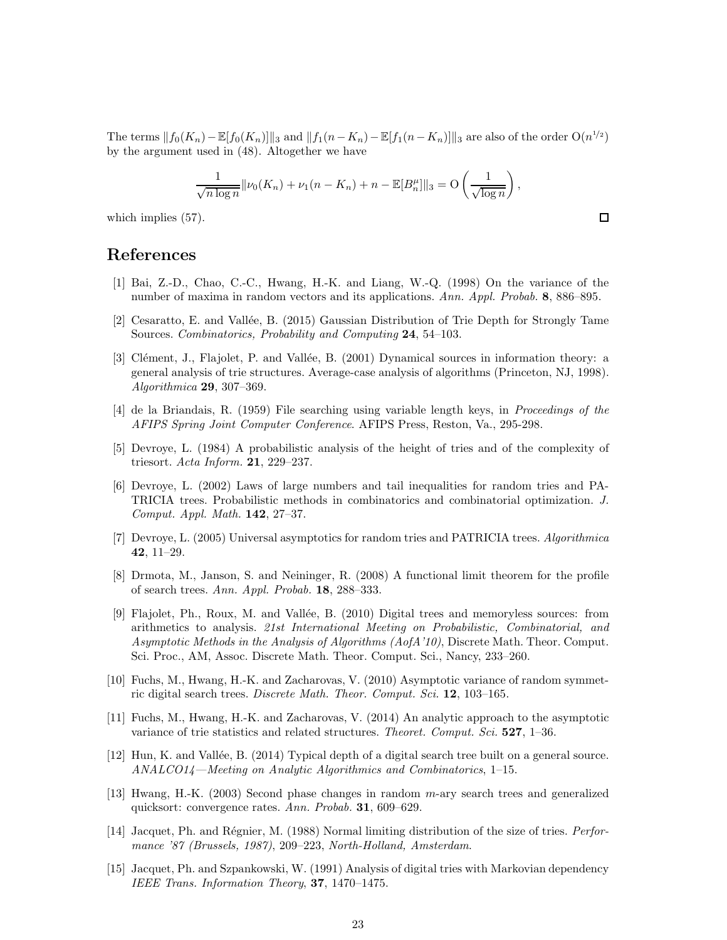The terms  $||f_0(K_n)-\mathbb{E}[f_0(K_n)]||_3$  and  $||f_1(n-K_n)-\mathbb{E}[f_1(n-K_n)]||_3$  are also of the order  $O(n^{1/2})$ by the argument used in (48). Altogether we have

$$
\frac{1}{\sqrt{n \log n}} ||\nu_0(K_n) + \nu_1(n - K_n) + n - \mathbb{E}[B_n^{\mu}]]||_3 = O\left(\frac{1}{\sqrt{\log n}}\right),
$$

 $\Box$ 

which implies (57).

### References

- [1] Bai, Z.-D., Chao, C.-C., Hwang, H.-K. and Liang, W.-Q. (1998) On the variance of the number of maxima in random vectors and its applications. *Ann. Appl. Probab.* 8, 886–895.
- [2] Cesaratto, E. and Vall´ee, B. (2015) Gaussian Distribution of Trie Depth for Strongly Tame Sources. *Combinatorics, Probability and Computing* 24, 54–103.
- [3] Clément, J., Flajolet, P. and Vallée, B. (2001) Dynamical sources in information theory: a general analysis of trie structures. Average-case analysis of algorithms (Princeton, NJ, 1998). *Algorithmica* 29, 307–369.
- [4] de la Briandais, R. (1959) File searching using variable length keys, in *Proceedings of the AFIPS Spring Joint Computer Conference*. AFIPS Press, Reston, Va., 295-298.
- [5] Devroye, L. (1984) A probabilistic analysis of the height of tries and of the complexity of triesort. *Acta Inform.* 21, 229–237.
- [6] Devroye, L. (2002) Laws of large numbers and tail inequalities for random tries and PA-TRICIA trees. Probabilistic methods in combinatorics and combinatorial optimization. *J. Comput. Appl. Math.* 142, 27–37.
- [7] Devroye, L. (2005) Universal asymptotics for random tries and PATRICIA trees. *Algorithmica* 42, 11–29.
- [8] Drmota, M., Janson, S. and Neininger, R. (2008) A functional limit theorem for the profile of search trees. *Ann. Appl. Probab.* 18, 288–333.
- [9] Flajolet, Ph., Roux, M. and Vallée, B. (2010) Digital trees and memoryless sources: from arithmetics to analysis. *21st International Meeting on Probabilistic, Combinatorial, and Asymptotic Methods in the Analysis of Algorithms (AofA'10)*, Discrete Math. Theor. Comput. Sci. Proc., AM, Assoc. Discrete Math. Theor. Comput. Sci., Nancy, 233–260.
- [10] Fuchs, M., Hwang, H.-K. and Zacharovas, V. (2010) Asymptotic variance of random symmetric digital search trees. *Discrete Math. Theor. Comput. Sci.* 12, 103–165.
- [11] Fuchs, M., Hwang, H.-K. and Zacharovas, V. (2014) An analytic approach to the asymptotic variance of trie statistics and related structures. *Theoret. Comput. Sci.* 527, 1–36.
- [12] Hun, K. and Vallée, B. (2014) Typical depth of a digital search tree built on a general source. *ANALCO14—Meeting on Analytic Algorithmics and Combinatorics*, 1–15.
- [13] Hwang, H.-K. (2003) Second phase changes in random m-ary search trees and generalized quicksort: convergence rates. *Ann. Probab.* 31, 609–629.
- [14] Jacquet, Ph. and Régnier, M. (1988) Normal limiting distribution of the size of tries. *Performance '87 (Brussels, 1987)*, 209–223, *North-Holland, Amsterdam*.
- [15] Jacquet, Ph. and Szpankowski, W. (1991) Analysis of digital tries with Markovian dependency *IEEE Trans. Information Theory*, 37, 1470–1475.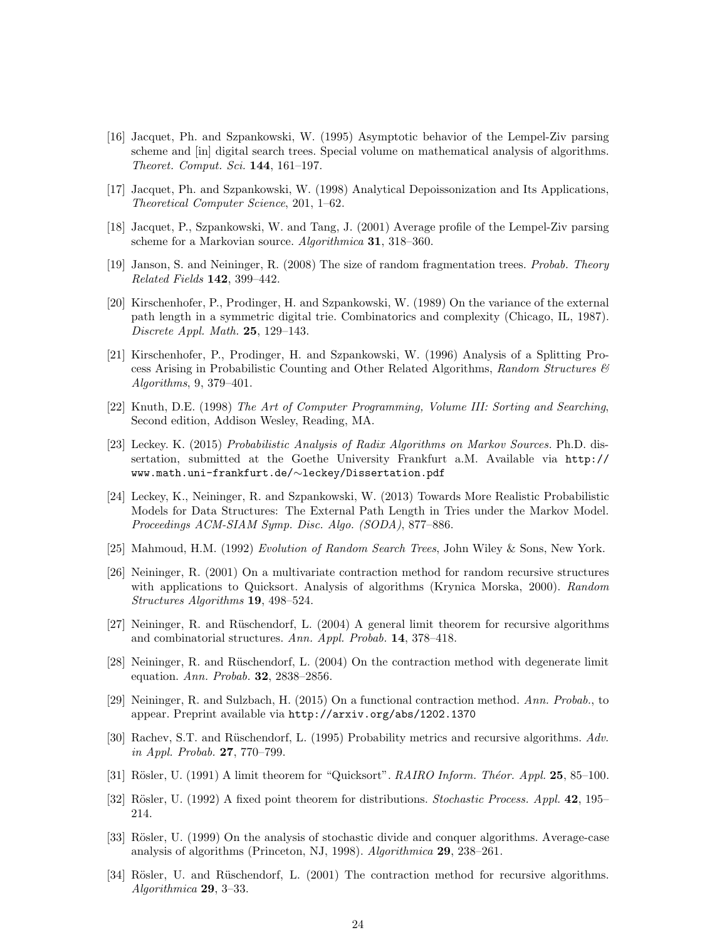- [16] Jacquet, Ph. and Szpankowski, W. (1995) Asymptotic behavior of the Lempel-Ziv parsing scheme and [in] digital search trees. Special volume on mathematical analysis of algorithms. *Theoret. Comput. Sci.* 144, 161–197.
- [17] Jacquet, Ph. and Szpankowski, W. (1998) Analytical Depoissonization and Its Applications, *Theoretical Computer Science*, 201, 1–62.
- [18] Jacquet, P., Szpankowski, W. and Tang, J. (2001) Average profile of the Lempel-Ziv parsing scheme for a Markovian source. *Algorithmica* 31, 318–360.
- [19] Janson, S. and Neininger, R. (2008) The size of random fragmentation trees. *Probab. Theory Related Fields* 142, 399–442.
- [20] Kirschenhofer, P., Prodinger, H. and Szpankowski, W. (1989) On the variance of the external path length in a symmetric digital trie. Combinatorics and complexity (Chicago, IL, 1987). *Discrete Appl. Math.* 25, 129–143.
- [21] Kirschenhofer, P., Prodinger, H. and Szpankowski, W. (1996) Analysis of a Splitting Process Arising in Probabilistic Counting and Other Related Algorithms, *Random Structures & Algorithms*, 9, 379–401.
- [22] Knuth, D.E. (1998) *The Art of Computer Programming, Volume III: Sorting and Searching*, Second edition, Addison Wesley, Reading, MA.
- [23] Leckey. K. (2015) *Probabilistic Analysis of Radix Algorithms on Markov Sources.* Ph.D. dissertation, submitted at the Goethe University Frankfurt a.M. Available via http:// www.math.uni-frankfurt.de/∼leckey/Dissertation.pdf
- [24] Leckey, K., Neininger, R. and Szpankowski, W. (2013) Towards More Realistic Probabilistic Models for Data Structures: The External Path Length in Tries under the Markov Model. *Proceedings ACM-SIAM Symp. Disc. Algo. (SODA)*, 877–886.
- [25] Mahmoud, H.M. (1992) *Evolution of Random Search Trees*, John Wiley & Sons, New York.
- [26] Neininger, R. (2001) On a multivariate contraction method for random recursive structures with applications to Quicksort. Analysis of algorithms (Krynica Morska, 2000). *Random Structures Algorithms* 19, 498–524.
- [27] Neininger, R. and Rüschendorf, L. (2004) A general limit theorem for recursive algorithms and combinatorial structures. *Ann. Appl. Probab.* 14, 378–418.
- [28] Neininger, R. and Rüschendorf, L. (2004) On the contraction method with degenerate limit equation. *Ann. Probab.* 32, 2838–2856.
- [29] Neininger, R. and Sulzbach, H. (2015) On a functional contraction method. *Ann. Probab.*, to appear. Preprint available via http://arxiv.org/abs/1202.1370
- [30] Rachev, S.T. and Rüschendorf, L. (1995) Probability metrics and recursive algorithms. Adv. *in Appl. Probab.* 27, 770–799.
- [31] Rösler, U. (1991) A limit theorem for "Quicksort". *RAIRO Inform. Théor. Appl.* 25, 85–100.
- [32] Rösler, U. (1992) A fixed point theorem for distributions. *Stochastic Process. Appl.* 42, 195– 214.
- [33] Rösler, U. (1999) On the analysis of stochastic divide and conquer algorithms. Average-case analysis of algorithms (Princeton, NJ, 1998). *Algorithmica* 29, 238–261.
- [34] Rösler, U. and Rüschendorf, L. (2001) The contraction method for recursive algorithms. *Algorithmica* 29, 3–33.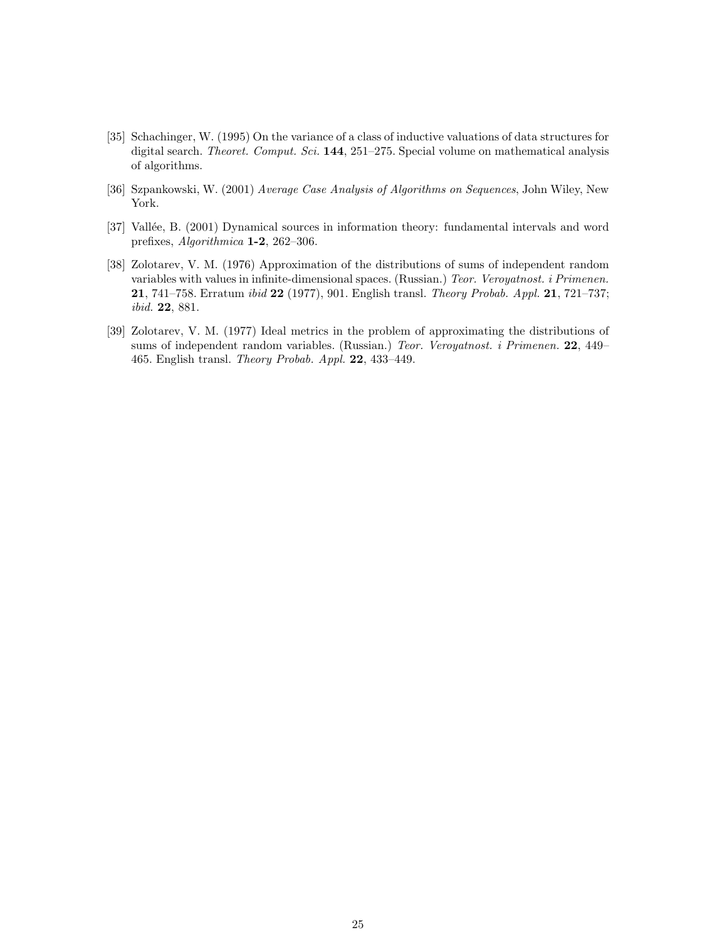- [35] Schachinger, W. (1995) On the variance of a class of inductive valuations of data structures for digital search. *Theoret. Comput. Sci.* 144, 251–275. Special volume on mathematical analysis of algorithms.
- [36] Szpankowski, W. (2001) *Average Case Analysis of Algorithms on Sequences*, John Wiley, New York.
- [37] Vallée, B. (2001) Dynamical sources in information theory: fundamental intervals and word prefixes, *Algorithmica* 1-2, 262–306.
- [38] Zolotarev, V. M. (1976) Approximation of the distributions of sums of independent random variables with values in infinite-dimensional spaces. (Russian.) *Teor. Veroyatnost. i Primenen.* 21, 741–758. Erratum *ibid* 22 (1977), 901. English transl. *Theory Probab. Appl.* 21, 721–737; *ibid.* 22, 881.
- [39] Zolotarev, V. M. (1977) Ideal metrics in the problem of approximating the distributions of sums of independent random variables. (Russian.) *Teor. Veroyatnost. i Primenen.* 22, 449– 465. English transl. *Theory Probab. Appl.* 22, 433–449.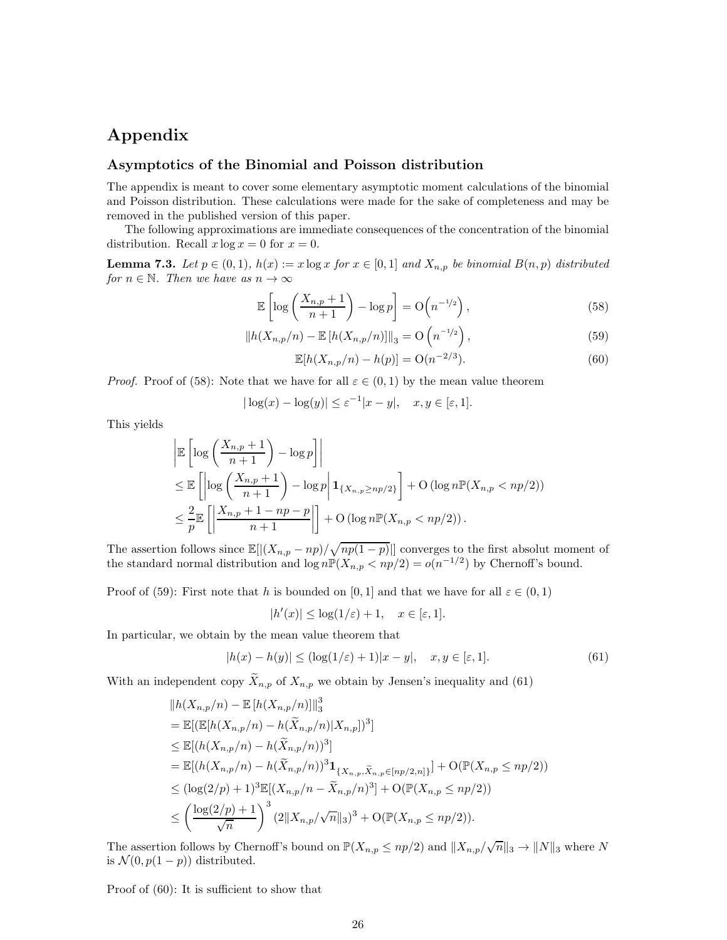# Appendix

### Asymptotics of the Binomial and Poisson distribution

The appendix is meant to cover some elementary asymptotic moment calculations of the binomial and Poisson distribution. These calculations were made for the sake of completeness and may be removed in the published version of this paper.

The following approximations are immediate consequences of the concentration of the binomial distribution. Recall  $x \log x = 0$  for  $x = 0$ .

**Lemma 7.3.** *Let*  $p \in (0,1)$ *,*  $h(x) := x \log x$  *for*  $x \in [0,1]$  *and*  $X_{n,p}$  *be binomial*  $B(n,p)$  *distributed for*  $n \in \mathbb{N}$ *. Then we have as*  $n \to \infty$ 

$$
\mathbb{E}\left[\log\left(\frac{X_{n,p}+1}{n+1}\right)-\log p\right]=\mathcal{O}\left(n^{-1/2}\right),\tag{58}
$$

$$
||h(X_{n,p}/n) - \mathbb{E}[h(X_{n,p}/n)]||_3 = O\left(n^{-1/2}\right),\tag{59}
$$

$$
\mathbb{E}[h(X_{n,p}/n) - h(p)] = \mathcal{O}(n^{-2/3}).\tag{60}
$$

*Proof.* Proof of (58): Note that we have for all  $\varepsilon \in (0,1)$  by the mean value theorem

$$
|\log(x) - \log(y)| \le \varepsilon^{-1}|x - y|, \quad x, y \in [\varepsilon, 1].
$$

This yields

$$
\begin{aligned}\n&\left| \mathbb{E}\left[\log\left(\frac{X_{n,p}+1}{n+1}\right)-\log p\right] \right| \\
&\leq \mathbb{E}\left[\left|\log\left(\frac{X_{n,p}+1}{n+1}\right)-\log p\right|{\bf 1}_{\{X_{n,p}\geq np/2\}}\right] + O\left(\log n \mathbb{P}(X_{n,p} < np/2)\right) \\
&\leq \frac{2}{p} \mathbb{E}\left[\left|\frac{X_{n,p}+1-np-p}{n+1}\right|\right] + O\left(\log n \mathbb{P}(X_{n,p} < np/2)\right).\n\end{aligned}
$$

The assertion follows since  $\mathbb{E}[|(X_{n,p} - np)/\sqrt{np(1-p)}|]$  converges to the first absolut moment of the standard normal distribution and  $\log n \mathbb{P}(X_{n,p} < np/2) = o(n^{-1/2})$  by Chernoff's bound.

Proof of (59): First note that h is bounded on [0, 1] and that we have for all  $\varepsilon \in (0,1)$ 

$$
|h'(x)| \le \log(1/\varepsilon) + 1, \quad x \in [\varepsilon, 1].
$$

In particular, we obtain by the mean value theorem that

$$
|h(x) - h(y)| \le (\log(1/\varepsilon) + 1)|x - y|, \quad x, y \in [\varepsilon, 1].
$$
\n(61)

With an independent copy  $\widetilde{X}_{n,p}$  of  $X_{n,p}$  we obtain by Jensen's inequality and (61)

$$
||h(X_{n,p}/n) - \mathbb{E}[h(X_{n,p}/n)]||_3^3
$$
  
\n
$$
= \mathbb{E}[(\mathbb{E}[h(X_{n,p}/n) - h(\tilde{X}_{n,p}/n)|X_{n,p}])^3]
$$
  
\n
$$
\leq \mathbb{E}[(h(X_{n,p}/n) - h(\tilde{X}_{n,p}/n))^3]
$$
  
\n
$$
= \mathbb{E}[(h(X_{n,p}/n) - h(\tilde{X}_{n,p}/n))^3 \mathbf{1}_{\{X_{n,p}, \tilde{X}_{n,p} \in [np/2,n]\}}] + O(\mathbb{P}(X_{n,p} \leq np/2))
$$
  
\n
$$
\leq (\log(2/p) + 1)^3 \mathbb{E}[(X_{n,p}/n - \tilde{X}_{n,p}/n)^3] + O(\mathbb{P}(X_{n,p} \leq np/2))
$$
  
\n
$$
\leq \left(\frac{\log(2/p) + 1}{\sqrt{n}}\right)^3 (2||X_{n,p}/\sqrt{n}||_3)^3 + O(\mathbb{P}(X_{n,p} \leq np/2)).
$$

The assertion follows by Chernoff's bound on  $\mathbb{P}(X_{n,p} \leq np/2)$  and  $||X_{n,p}/\sqrt{n}||_3 \to ||N||_3$  where N is  $\mathcal{N}(0, p(1-p))$  distributed.

Proof of (60): It is sufficient to show that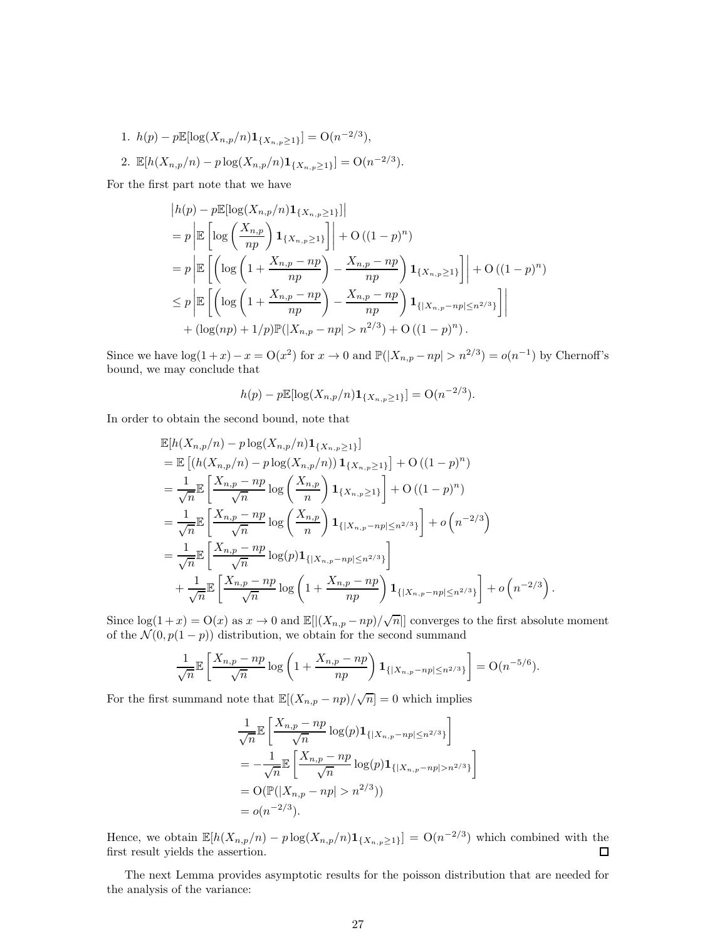1.  $h(p) - p \mathbb{E}[\log(X_{n,p}/n) \mathbf{1}_{\{X_{n,p} \geq 1\}}] = O(n^{-2/3}),$ 

2. 
$$
\mathbb{E}[h(X_{n,p}/n) - p \log(X_{n,p}/n) \mathbf{1}_{\{X_{n,p} \geq 1\}}] = O(n^{-2/3}).
$$

For the first part note that we have

$$
|h(p) - p \mathbb{E}[\log(X_{n,p}/n) \mathbf{1}_{\{X_{n,p} \ge 1\}}]|
$$
  
=  $p \left| \mathbb{E} \left[ \log \left( \frac{X_{n,p}}{np} \right) \mathbf{1}_{\{X_{n,p} \ge 1\}} \right] \right| + O((1-p)^n)$   
=  $p \left| \mathbb{E} \left[ \left( \log \left( 1 + \frac{X_{n,p} - np}{np} \right) - \frac{X_{n,p} - np}{np} \right) \mathbf{1}_{\{X_{n,p} \ge 1\}} \right] \right| + O((1-p)^n)$   
 $\le p \left| \mathbb{E} \left[ \left( \log \left( 1 + \frac{X_{n,p} - np}{np} \right) - \frac{X_{n,p} - np}{np} \right) \mathbf{1}_{\{ | X_{n,p} - np | \le n^{2/3} \}} \right] \right|$   
+  $(\log(np) + 1/p) \mathbb{P}(|X_{n,p} - np| > n^{2/3}) + O((1-p)^n).$ 

Since we have  $\log(1+x) - x = O(x^2)$  for  $x \to 0$  and  $\mathbb{P}(|X_{n,p} - np| > n^{2/3}) = o(n^{-1})$  by Chernoff's bound, we may conclude that

$$
h(p) - p \mathbb{E}[\log(X_{n,p}/n) \mathbf{1}_{\{X_{n,p} \geq 1\}}] = O(n^{-2/3}).
$$

In order to obtain the second bound, note that

$$
\mathbb{E}[h(X_{n,p}/n) - p \log(X_{n,p}/n) \mathbf{1}_{\{X_{n,p} \ge 1\}}] \n= \mathbb{E}\left[ (h(X_{n,p}/n) - p \log(X_{n,p}/n)) \mathbf{1}_{\{X_{n,p} \ge 1\}} \right] + O((1-p)^n) \n= \frac{1}{\sqrt{n}} \mathbb{E}\left[ \frac{X_{n,p} - np}{\sqrt{n}} \log \left( \frac{X_{n,p}}{n} \right) \mathbf{1}_{\{X_{n,p} \ge 1\}} \right] + O((1-p)^n) \n= \frac{1}{\sqrt{n}} \mathbb{E}\left[ \frac{X_{n,p} - np}{\sqrt{n}} \log \left( \frac{X_{n,p}}{n} \right) \mathbf{1}_{\{X_{n,p} - np \le n^{2/3}\}} \right] + o\left( n^{-2/3} \right) \n= \frac{1}{\sqrt{n}} \mathbb{E}\left[ \frac{X_{n,p} - np}{\sqrt{n}} \log(p) \mathbf{1}_{\{ |X_{n,p} - np | \le n^{2/3} \}} \right] \n+ \frac{1}{\sqrt{n}} \mathbb{E}\left[ \frac{X_{n,p} - np}{\sqrt{n}} \log \left( 1 + \frac{X_{n,p} - np}{np} \right) \mathbf{1}_{\{ |X_{n,p} - np | \le n^{2/3} \}} \right] + o\left( n^{-2/3} \right).
$$

Since  $\log(1+x) = O(x)$  as  $x \to 0$  and  $\mathbb{E}[|(X_{n,p} - np)/\sqrt{n}|]$  converges to the first absolute moment of the  $\mathcal{N}(0, p(1-p))$  distribution, we obtain for the second summand

$$
\frac{1}{\sqrt{n}} \mathbb{E}\left[\frac{X_{n,p} - np}{\sqrt{n}} \log \left(1 + \frac{X_{n,p} - np}{np}\right) \mathbf{1}_{\{|X_{n,p} - np| \le n^{2/3}\}}\right] = O(n^{-5/6}).
$$

For the first summand note that  $\mathbb{E}[(X_{n,p}-np)/\sqrt{n}] = 0$  which implies

$$
\frac{1}{\sqrt{n}} \mathbb{E}\left[\frac{X_{n,p} - np}{\sqrt{n}} \log(p) \mathbf{1}_{\{|X_{n,p} - np| \le n^{2/3}\}}\right]
$$
  
=  $-\frac{1}{\sqrt{n}} \mathbb{E}\left[\frac{X_{n,p} - np}{\sqrt{n}} \log(p) \mathbf{1}_{\{|X_{n,p} - np| > n^{2/3}\}}\right]$   
=  $O(\mathbb{P}(|X_{n,p} - np| > n^{2/3}))$   
=  $o(n^{-2/3}).$ 

Hence, we obtain  $\mathbb{E}[h(X_{n,p}/n) - p \log(X_{n,p}/n) \mathbf{1}_{\{X_{n,p}\geq 1\}}] = \mathcal{O}(n^{-2/3})$  which combined with the first result yields the assertion.  $\square$ 

The next Lemma provides asymptotic results for the poisson distribution that are needed for the analysis of the variance: